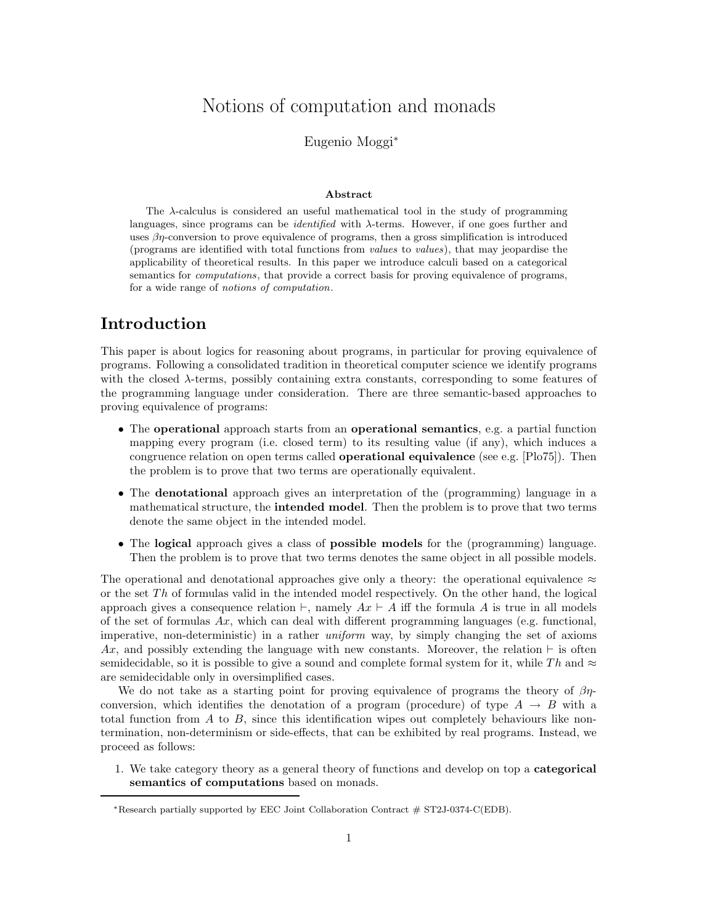# Notions of computation and monads

Eugenio Moggi<sup>∗</sup>

#### Abstract

The λ-calculus is considered an useful mathematical tool in the study of programming languages, since programs can be *identified* with  $\lambda$ -terms. However, if one goes further and uses  $\beta\eta$ -conversion to prove equivalence of programs, then a gross simplification is introduced (programs are identified with total functions from values to values), that may jeopardise the applicability of theoretical results. In this paper we introduce calculi based on a categorical semantics for *computations*, that provide a correct basis for proving equivalence of programs, for a wide range of notions of computation.

## Introduction

This paper is about logics for reasoning about programs, in particular for proving equivalence of programs. Following a consolidated tradition in theoretical computer science we identify programs with the closed  $\lambda$ -terms, possibly containing extra constants, corresponding to some features of the programming language under consideration. There are three semantic-based approaches to proving equivalence of programs:

- The operational approach starts from an operational semantics, e.g. a partial function mapping every program (i.e. closed term) to its resulting value (if any), which induces a congruence relation on open terms called operational equivalence (see e.g. [Plo75]). Then the problem is to prove that two terms are operationally equivalent.
- The denotational approach gives an interpretation of the (programming) language in a mathematical structure, the intended model. Then the problem is to prove that two terms denote the same object in the intended model.
- The logical approach gives a class of possible models for the (programming) language. Then the problem is to prove that two terms denotes the same object in all possible models.

The operational and denotational approaches give only a theory: the operational equivalence  $\approx$ or the set  $Th$  of formulas valid in the intended model respectively. On the other hand, the logical approach gives a consequence relation  $\vdash$ , namely  $Ax \vdash A$  iff the formula A is true in all models of the set of formulas  $Ax$ , which can deal with different programming languages (e.g. functional, imperative, non-deterministic) in a rather uniform way, by simply changing the set of axioms Ax, and possibly extending the language with new constants. Moreover, the relation  $\vdash$  is often semidecidable, so it is possible to give a sound and complete formal system for it, while Th and  $\approx$ are semidecidable only in oversimplified cases.

We do not take as a starting point for proving equivalence of programs the theory of  $\beta\eta$ conversion, which identifies the denotation of a program (procedure) of type  $A \rightarrow B$  with a total function from  $A$  to  $B$ , since this identification wipes out completely behaviours like nontermination, non-determinism or side-effects, that can be exhibited by real programs. Instead, we proceed as follows:

1. We take category theory as a general theory of functions and develop on top a categorical semantics of computations based on monads.

<sup>∗</sup>Research partially supported by EEC Joint Collaboration Contract # ST2J-0374-C(EDB).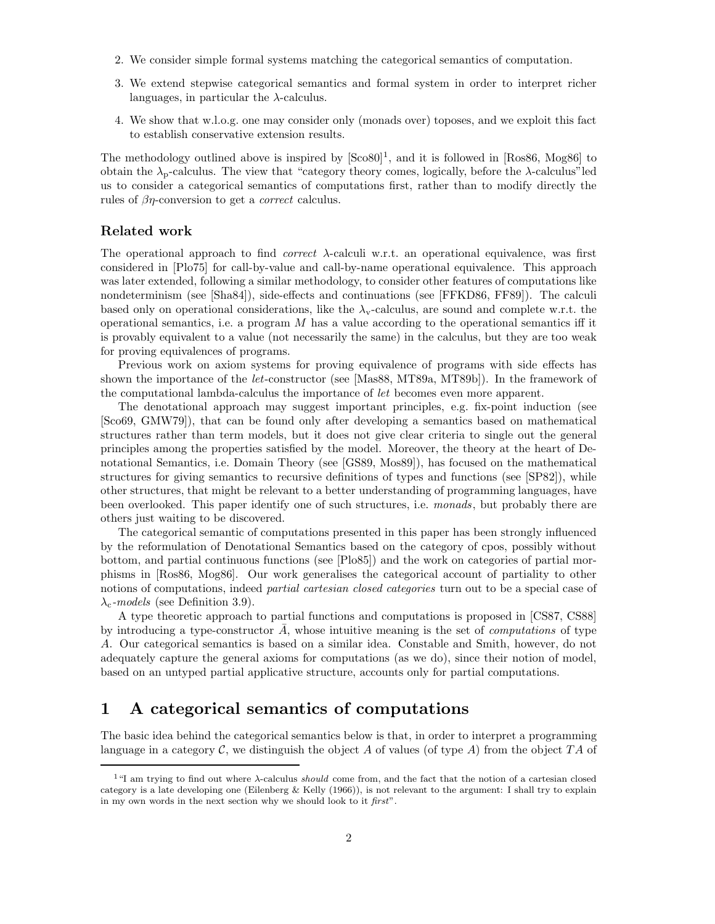- 2. We consider simple formal systems matching the categorical semantics of computation.
- 3. We extend stepwise categorical semantics and formal system in order to interpret richer languages, in particular the  $\lambda$ -calculus.
- 4. We show that w.l.o.g. one may consider only (monads over) toposes, and we exploit this fact to establish conservative extension results.

The methodology outlined above is inspired by  $[Sco80]$ <sup>1</sup>, and it is followed in [Ros86, Mog86] to obtain the  $\lambda_p$ -calculus. The view that "category theory comes, logically, before the  $\lambda$ -calculus"led us to consider a categorical semantics of computations first, rather than to modify directly the rules of  $\beta\eta$ -conversion to get a *correct* calculus.

### Related work

The operational approach to find *correct*  $\lambda$ -calculi w.r.t. an operational equivalence, was first considered in [Plo75] for call-by-value and call-by-name operational equivalence. This approach was later extended, following a similar methodology, to consider other features of computations like nondeterminism (see [Sha84]), side-effects and continuations (see [FFKD86, FF89]). The calculi based only on operational considerations, like the  $\lambda_{v}$ -calculus, are sound and complete w.r.t. the operational semantics, i.e. a program  $M$  has a value according to the operational semantics iff it is provably equivalent to a value (not necessarily the same) in the calculus, but they are too weak for proving equivalences of programs.

Previous work on axiom systems for proving equivalence of programs with side effects has shown the importance of the let-constructor (see [Mas88, MT89a, MT89b]). In the framework of the computational lambda-calculus the importance of let becomes even more apparent.

The denotational approach may suggest important principles, e.g. fix-point induction (see [Sco69, GMW79]), that can be found only after developing a semantics based on mathematical structures rather than term models, but it does not give clear criteria to single out the general principles among the properties satisfied by the model. Moreover, the theory at the heart of Denotational Semantics, i.e. Domain Theory (see [GS89, Mos89]), has focused on the mathematical structures for giving semantics to recursive definitions of types and functions (see [SP82]), while other structures, that might be relevant to a better understanding of programming languages, have been overlooked. This paper identify one of such structures, i.e. monads, but probably there are others just waiting to be discovered.

The categorical semantic of computations presented in this paper has been strongly influenced by the reformulation of Denotational Semantics based on the category of cpos, possibly without bottom, and partial continuous functions (see [Plo85]) and the work on categories of partial morphisms in [Ros86, Mog86]. Our work generalises the categorical account of partiality to other notions of computations, indeed *partial cartesian closed categories* turn out to be a special case of  $\lambda_c$ -models (see Definition 3.9).

A type theoretic approach to partial functions and computations is proposed in [CS87, CS88] by introducing a type-constructor  $A$ , whose intuitive meaning is the set of *computations* of type A. Our categorical semantics is based on a similar idea. Constable and Smith, however, do not adequately capture the general axioms for computations (as we do), since their notion of model, based on an untyped partial applicative structure, accounts only for partial computations.

## 1 A categorical semantics of computations

The basic idea behind the categorical semantics below is that, in order to interpret a programming language in a category  $\mathcal C$ , we distinguish the object A of values (of type A) from the object TA of

<sup>&</sup>lt;sup>1</sup>"I am trying to find out where  $\lambda$ -calculus *should* come from, and the fact that the notion of a cartesian closed category is a late developing one (Eilenberg & Kelly (1966)), is not relevant to the argument: I shall try to explain in my own words in the next section why we should look to it first".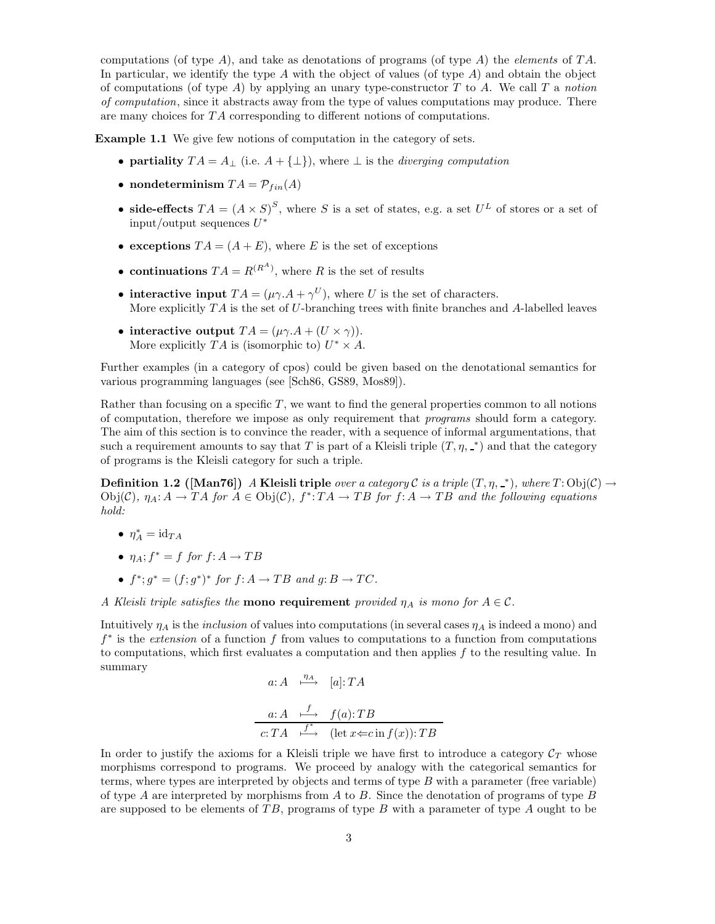computations (of type A), and take as denotations of programs (of type A) the *elements* of TA. In particular, we identify the type A with the object of values (of type  $A$ ) and obtain the object of computations (of type A) by applying an unary type-constructor  $T$  to  $A$ . We call  $T$  a notion of computation, since it abstracts away from the type of values computations may produce. There are many choices for TA corresponding to different notions of computations.

Example 1.1 We give few notions of computation in the category of sets.

- partiality  $TA = A_{\perp}$  (i.e.  $A + {\perp}$ ), where  $\perp$  is the *diverging computation*
- nondeterminism  $TA = \mathcal{P}_{fin}(A)$
- side-effects  $TA = (A \times S)^S$ , where S is a set of states, e.g. a set  $U^L$  of stores or a set of  $\text{input}/\text{output}$  sequences  $U^*$
- exceptions  $TA = (A + E)$ , where E is the set of exceptions
- continuations  $TA = R^{(R^A)}$ , where R is the set of results
- interactive input  $TA = (\mu \gamma.A + \gamma^U)$ , where U is the set of characters. More explicitly  $TA$  is the set of U-branching trees with finite branches and A-labelled leaves
- interactive output  $TA = (\mu \gamma.A + (U \times \gamma)).$ More explicitly  $TA$  is (isomorphic to)  $U^* \times A$ .

Further examples (in a category of cpos) could be given based on the denotational semantics for various programming languages (see [Sch86, GS89, Mos89]).

Rather than focusing on a specific  $T$ , we want to find the general properties common to all notions of computation, therefore we impose as only requirement that programs should form a category. The aim of this section is to convince the reader, with a sequence of informal argumentations, that such a requirement amounts to say that T is part of a Kleisli triple  $(T, \eta, \_*)$  and that the category of programs is the Kleisli category for such a triple.

**Definition 1.2** ([Man76]) A Kleisli triple over a category C is a triple  $(T, \eta, \bot)$ , where  $T:Obj(\mathcal{C}) \rightarrow$  $Obj(C), \eta_A: A \to TA$  for  $A \in Obj(C), f^*: TA \to TB$  for  $f: A \to TB$  and the following equations hold:

- $\eta_A^* = \mathrm{id}_{TA}$
- $\eta_A$ ;  $f^* = f$  for  $f: A \to TB$
- $f^*$ ;  $g^* = (f; g^*)^*$  for  $f: A \to TB$  and  $g: B \to TC$ .

A Kleisli triple satisfies the **mono requirement** provided  $\eta_A$  is mono for  $A \in \mathcal{C}$ .

Intuitively  $\eta_A$  is the *inclusion* of values into computations (in several cases  $\eta_A$  is indeed a mono) and  $f^*$  is the *extension* of a function f from values to computations to a function from computations to computations, which first evaluates a computation and then applies f to the resulting value. In summary

$$
a: A \xrightarrow{\eta_A} [a]: TA
$$

$$
a: A \xrightarrow{f} f(a): TB
$$
  

$$
c: TA \xrightarrow{f^*} (\text{let } x \Leftarrow c \text{ in } f(x)) : TB
$$

In order to justify the axioms for a Kleisli triple we have first to introduce a category  $C_T$  whose morphisms correspond to programs. We proceed by analogy with the categorical semantics for terms, where types are interpreted by objects and terms of type  $B$  with a parameter (free variable) of type  $A$  are interpreted by morphisms from  $A$  to  $B$ . Since the denotation of programs of type  $B$ are supposed to be elements of  $TB$ , programs of type B with a parameter of type A ought to be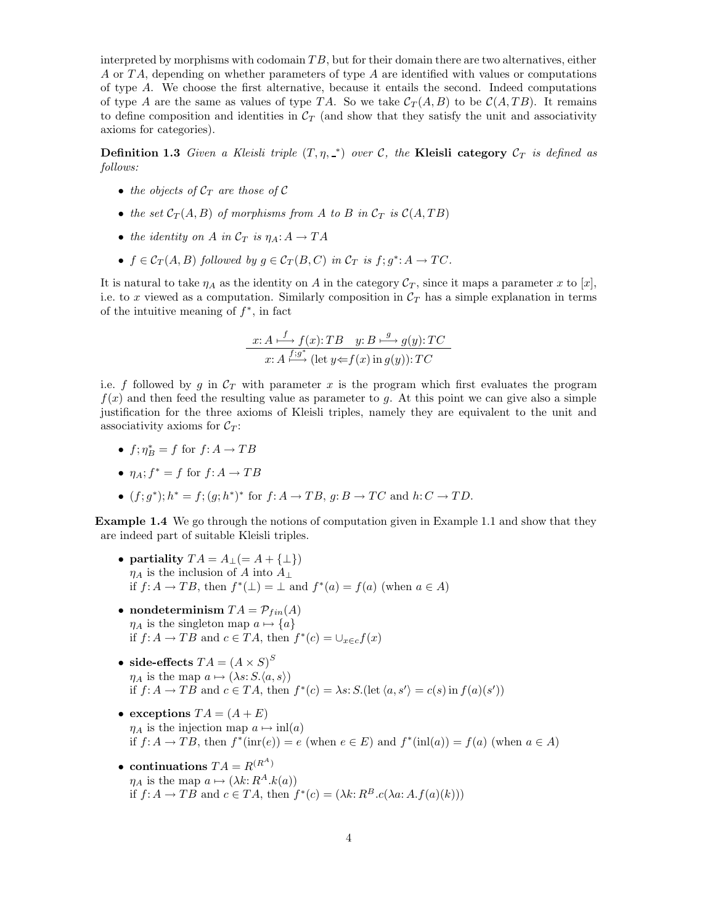interpreted by morphisms with codomain  $TB$ , but for their domain there are two alternatives, either A or TA, depending on whether parameters of type A are identified with values or computations of type A. We choose the first alternative, because it entails the second. Indeed computations of type A are the same as values of type TA. So we take  $C_T(A, B)$  to be  $C(A, TB)$ . It remains to define composition and identities in  $\mathcal{C}_T$  (and show that they satisfy the unit and associativity axioms for categories).

**Definition 1.3** Given a Kleisli triple  $(T, \eta, \underline{\ }^*)$  over C, the Kleisli category  $\mathcal{C}_T$  is defined as follows:

- the objects of  $C_T$  are those of C
- the set  $C_T(A, B)$  of morphisms from A to B in  $C_T$  is  $C(A, TB)$
- the identity on A in  $C_T$  is  $\eta_A: A \to TA$
- $f \in C_T(A, B)$  followed by  $g \in C_T(B, C)$  in  $C_T$  is  $f; g^* : A \to TC$ .

It is natural to take  $\eta_A$  as the identity on A in the category  $\mathcal{C}_T$ , since it maps a parameter x to [x], i.e. to x viewed as a computation. Similarly composition in  $C_T$  has a simple explanation in terms of the intuitive meaning of  $f^*$ , in fact

$$
x: A \xrightarrow{f} f(x): TB \quad y: B \xrightarrow{g} g(y): TC
$$
  

$$
x: A \xrightarrow{f:g^*} (\text{let } y \Leftarrow f(x) \text{ in } g(y)): TC
$$

i.e. f followed by g in  $\mathcal{C}_T$  with parameter x is the program which first evaluates the program  $f(x)$  and then feed the resulting value as parameter to g. At this point we can give also a simple justification for the three axioms of Kleisli triples, namely they are equivalent to the unit and associativity axioms for  $\mathcal{C}_T$ :

•  $f; \eta_B^* = f$  for  $f: A \to TB$ 

• 
$$
\eta_A
$$
;  $f^* = f$  for  $f: A \to TB$ 

•  $(f; g^*); h^* = f; (g; h^*)^*$  for  $f: A \to TB, g: B \to TC$  and  $h: C \to TD$ .

Example 1.4 We go through the notions of computation given in Example 1.1 and show that they are indeed part of suitable Kleisli triples.

- partiality  $TA = A_{\perp} (= A + {\perp})$  $\eta_A$  is the inclusion of A into  $A_\perp$ if  $f: A \to TB$ , then  $f^*(\perp) = \perp$  and  $f^*(a) = f(a)$  (when  $a \in A$ )
- nondeterminism  $TA = \mathcal{P}_{fin}(A)$  $\eta_A$  is the singleton map  $a \mapsto \{a\}$ if  $f: A \to TB$  and  $c \in TA$ , then  $f^*(c) = \cup_{x \in c} f(x)$
- side-effects  $TA = (A \times S)^S$  $\eta_A$  is the map  $a \mapsto (\lambda s: S, \langle a, s \rangle)$ if  $f: A \to TB$  and  $c \in TA$ , then  $f^*(c) = \lambda s$ :  $S$ . (let  $\langle a, s' \rangle = c(s)$  in  $f(a)(s')$ )
- exceptions  $TA = (A + E)$  $\eta_A$  is the injection map  $a \mapsto \text{inl}(a)$ if  $f: A \to TB$ , then  $f^*(\text{im}(e)) = e$  (when  $e \in E$ ) and  $f^*(\text{in}(a)) = f(a)$  (when  $a \in A$ )
- continuations  $TA = R^{(R^A)}$  $\eta_A$  is the map  $a \mapsto (\lambda k: R^A.k(a))$ if  $f: A \to TB$  and  $c \in TA$ , then  $f^*(c) = (\lambda k: R^B.c(\lambda a: A.f(a)(k)))$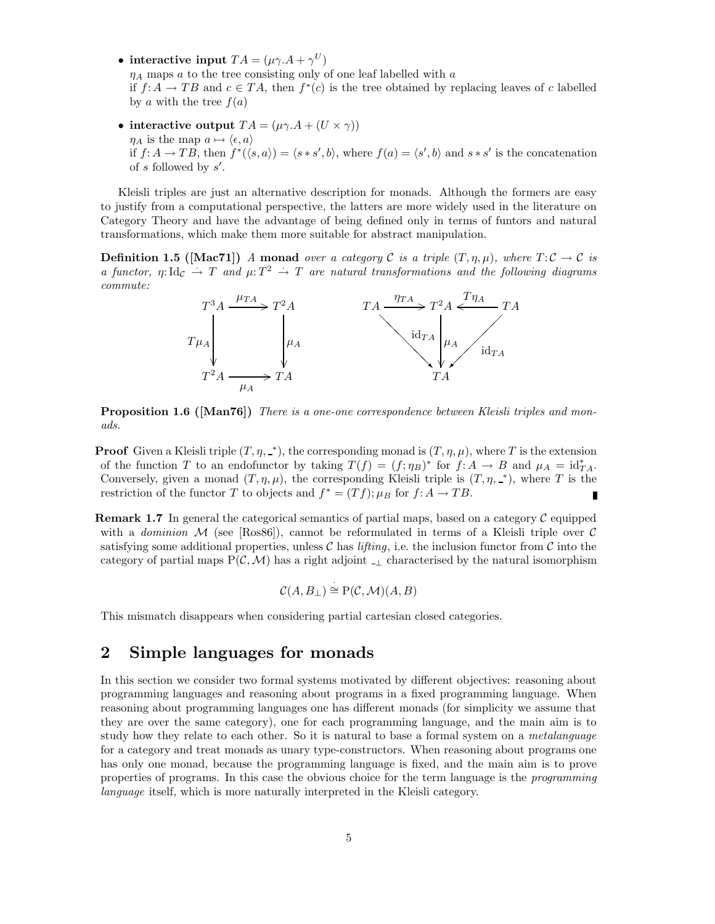• interactive input  $TA = (\mu \gamma . A + \gamma^{U})$ 

 $\eta_A$  maps a to the tree consisting only of one leaf labelled with a

if  $f: A \to TB$  and  $c \in TA$ , then  $f^*(c)$  is the tree obtained by replacing leaves of c labelled by a with the tree  $f(a)$ 

• interactive output  $TA = (\mu \gamma.A + (U \times \gamma))$  $\eta_A$  is the map  $a \mapsto \langle \epsilon, a \rangle$ if  $f: A \to TB$ , then  $f^*(\langle s, a \rangle) = \langle s * s', b \rangle$ , where  $f(a) = \langle s', b \rangle$  and  $s * s'$  is the concatenation of  $s$  followed by  $s'$ .

Kleisli triples are just an alternative description for monads. Although the formers are easy to justify from a computational perspective, the latters are more widely used in the literature on Category Theory and have the advantage of being defined only in terms of funtors and natural transformations, which make them more suitable for abstract manipulation.

**Definition 1.5** ([Mac71]) A monad over a category C is a triple  $(T, \eta, \mu)$ , where  $T: \mathcal{C} \to \mathcal{C}$  is a functor,  $\eta: \mathrm{Id}_{\mathcal{C}} \to T$  and  $\mu: T^2 \to T$  are natural transformations and the following diagrams commute:



Proposition 1.6 ([Man76]) There is a one-one correspondence between Kleisli triples and monads.

**Proof** Given a Kleisli triple  $(T, \eta, \_*)$ , the corresponding monad is  $(T, \eta, \mu)$ , where T is the extension of the function T to an endofunctor by taking  $T(f) = (f; \eta_B)^*$  for  $f: A \to B$  and  $\mu_A = id_{TA}^*$ . Conversely, given a monad  $(T, \eta, \mu)$ , the corresponding Kleisli triple is  $(T, \eta, \mu)$ , where T is the restriction of the functor T to objects and  $f^* = (Tf); \mu_B$  for  $f: A \to TB$ .

**Remark 1.7** In general the categorical semantics of partial maps, based on a category  $\mathcal{C}$  equipped with a *dominion* M (see [Ros86]), cannot be reformulated in terms of a Kleisli triple over C satisfying some additional properties, unless C has *lifting*, i.e. the inclusion functor from C into the category of partial maps  $P(\mathcal{C},\mathcal{M})$  has a right adjoint <sub>-1</sub> characterised by the natural isomorphism

$$
\mathcal{C}(A, B_{\perp}) \stackrel{\cdot}{\cong} \mathrm{P}(\mathcal{C}, \mathcal{M})(A, B)
$$

This mismatch disappears when considering partial cartesian closed categories.

## 2 Simple languages for monads

In this section we consider two formal systems motivated by different objectives: reasoning about programming languages and reasoning about programs in a fixed programming language. When reasoning about programming languages one has different monads (for simplicity we assume that they are over the same category), one for each programming language, and the main aim is to study how they relate to each other. So it is natural to base a formal system on a *metalanguage* for a category and treat monads as unary type-constructors. When reasoning about programs one has only one monad, because the programming language is fixed, and the main aim is to prove properties of programs. In this case the obvious choice for the term language is the programming language itself, which is more naturally interpreted in the Kleisli category.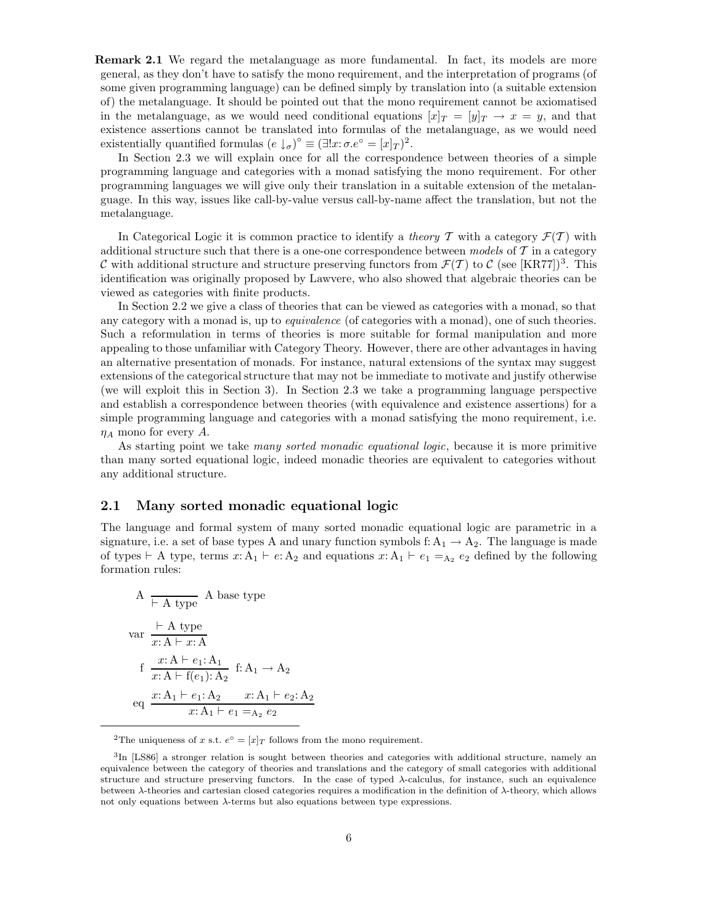Remark 2.1 We regard the metalanguage as more fundamental. In fact, its models are more general, as they don't have to satisfy the mono requirement, and the interpretation of programs (of some given programming language) can be defined simply by translation into (a suitable extension of) the metalanguage. It should be pointed out that the mono requirement cannot be axiomatised in the metalanguage, as we would need conditional equations  $[x]_T = [y]_T \rightarrow x = y$ , and that existence assertions cannot be translated into formulas of the metalanguage, as we would need existentially quantified formulas  $(e \downarrow_{\sigma})^{\circ} \equiv (\exists!x: \sigma.e^{\circ} = [x]_T)^2$ .

In Section 2.3 we will explain once for all the correspondence between theories of a simple programming language and categories with a monad satisfying the mono requirement. For other programming languages we will give only their translation in a suitable extension of the metalanguage. In this way, issues like call-by-value versus call-by-name affect the translation, but not the metalanguage.

In Categorical Logic it is common practice to identify a *theory*  $\mathcal{T}$  with a category  $\mathcal{F}(\mathcal{T})$  with additional structure such that there is a one-one correspondence between models of  $\mathcal T$  in a category C with additional structure and structure preserving functors from  $\mathcal{F}(\mathcal{T})$  to C (see [KR77])<sup>3</sup>. This identification was originally proposed by Lawvere, who also showed that algebraic theories can be viewed as categories with finite products.

In Section 2.2 we give a class of theories that can be viewed as categories with a monad, so that any category with a monad is, up to *equivalence* (of categories with a monad), one of such theories. Such a reformulation in terms of theories is more suitable for formal manipulation and more appealing to those unfamiliar with Category Theory. However, there are other advantages in having an alternative presentation of monads. For instance, natural extensions of the syntax may suggest extensions of the categorical structure that may not be immediate to motivate and justify otherwise (we will exploit this in Section 3). In Section 2.3 we take a programming language perspective and establish a correspondence between theories (with equivalence and existence assertions) for a simple programming language and categories with a monad satisfying the mono requirement, i.e.  $\eta_A$  mono for every A.

As starting point we take many sorted monadic equational logic, because it is more primitive than many sorted equational logic, indeed monadic theories are equivalent to categories without any additional structure.

### 2.1 Many sorted monadic equational logic

The language and formal system of many sorted monadic equational logic are parametric in a signature, i.e. a set of base types A and unary function symbols f:  $A_1 \rightarrow A_2$ . The language is made of types  $\vdash A$  type, terms  $x: A_1 \vdash e: A_2$  and equations  $x: A_1 \vdash e_1 = A_2 e_2$  defined by the following formation rules:

A 
$$
\overline{\phantom{a}}
$$
 A base type  
var  $\frac{\overline{\phantom{a}} + A \text{ type}}{x:A \overline{\phantom{a}} + x:A}$   
f  $\frac{x:A \overline{\phantom{a}} + e_1:A_1}{x:A \overline{\phantom{a}} + f(e_1): A_2}$  f:  $A_1 \rightarrow A_2$   
eq  $\frac{x:A_1 \overline{\phantom{a}} + e_1:A_2}{x:A_1 \overline{\phantom{a}} + e_1=A_2} e_2$ 

<sup>2</sup>The uniqueness of x s.t.  $e^{\circ} = [x]_T$  follows from the mono requirement.

<sup>&</sup>lt;sup>3</sup>In [LS86] a stronger relation is sought between theories and categories with additional structure, namely an equivalence between the category of theories and translations and the category of small categories with additional structure and structure preserving functors. In the case of typed λ-calculus, for instance, such an equivalence between  $\lambda$ -theories and cartesian closed categories requires a modification in the definition of  $\lambda$ -theory, which allows not only equations between λ-terms but also equations between type expressions.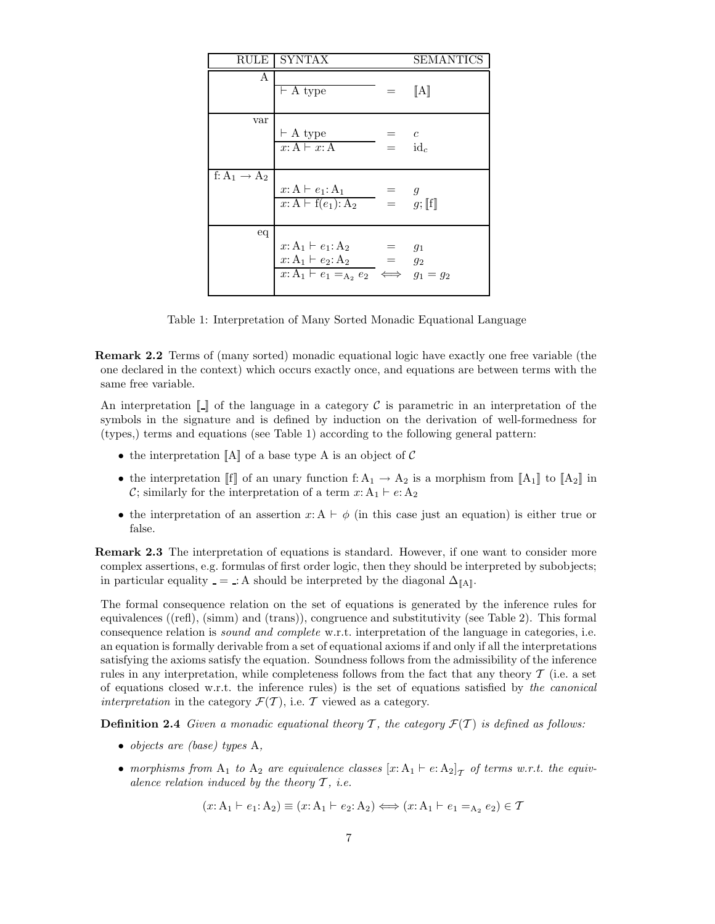| RULE                     | SYNTAX                                                                                                       |                               | SEMANTICS                 |
|--------------------------|--------------------------------------------------------------------------------------------------------------|-------------------------------|---------------------------|
| А                        | $\overline{\vdash}$ A type                                                                                   | $=$                           | $\llbracket A \rrbracket$ |
| var                      | $\vdash$ A type<br>$x: A \vdash x: A$                                                                        | $=$ $c$<br>$\bar{a}$ = $id_c$ |                           |
| f: $A_1 \rightarrow A_2$ | $\frac{x: A \vdash e_1: A_1}{x: A \vdash f(e_1): A_2} = g$<br>$\vdots$ $g; [f]$                              |                               |                           |
| eq                       | $x: A_1 \vdash e_1: A_2$<br>$x: A_1 \vdash e_2: A_2 = g_2$<br>$x: A_1 \vdash e_1 =_{A_2} e_2 \iff g_1 = g_2$ | $=$ $g_1$                     |                           |

Table 1: Interpretation of Many Sorted Monadic Equational Language

Remark 2.2 Terms of (many sorted) monadic equational logic have exactly one free variable (the one declared in the context) which occurs exactly once, and equations are between terms with the same free variable.

An interpretation  $\llbracket \cdot \rrbracket$  of the language in a category C is parametric in an interpretation of the symbols in the signature and is defined by induction on the derivation of well-formedness for (types,) terms and equations (see Table 1) according to the following general pattern:

- the interpretation  $\llbracket A \rrbracket$  of a base type A is an object of C
- the interpretation  $[[f]]$  of an unary function f:  $A_1 \rightarrow A_2$  is a morphism from  $[[A_1]]$  to  $[[A_2]]$  in C; similarly for the interpretation of a term  $x: A_1 \vdash e: A_2$
- the interpretation of an assertion  $x: A \vdash \phi$  (in this case just an equation) is either true or false.

**Remark 2.3** The interpretation of equations is standard. However, if one want to consider more complex assertions, e.g. formulas of first order logic, then they should be interpreted by subobjects; in particular equality  $=$  : A should be interpreted by the diagonal  $\Delta_{\llbracket A \rrbracket}$ .

The formal consequence relation on the set of equations is generated by the inference rules for equivalences ((refl), (simm) and (trans)), congruence and substitutivity (see Table 2). This formal consequence relation is sound and complete w.r.t. interpretation of the language in categories, i.e. an equation is formally derivable from a set of equational axioms if and only if all the interpretations satisfying the axioms satisfy the equation. Soundness follows from the admissibility of the inference rules in any interpretation, while completeness follows from the fact that any theory  $\mathcal T$  (i.e. a set of equations closed w.r.t. the inference rules) is the set of equations satisfied by the canonical interpretation in the category  $\mathcal{F}(\mathcal{T})$ , i.e. T viewed as a category.

**Definition 2.4** Given a monadic equational theory  $\mathcal{T}$ , the category  $\mathcal{F}(\mathcal{T})$  is defined as follows:

- objects are (base) types A,
- morphisms from  $A_1$  to  $A_2$  are equivalence classes  $[x: A_1 \vdash e: A_2]$ <sub>T</sub> of terms w.r.t. the equivalence relation induced by the theory  $\mathcal{T}$ , i.e.

$$
(x: A_1 \vdash e_1: A_2) \equiv (x: A_1 \vdash e_2: A_2) \Longleftrightarrow (x: A_1 \vdash e_1 =_{A_2} e_2) \in \mathcal{T}
$$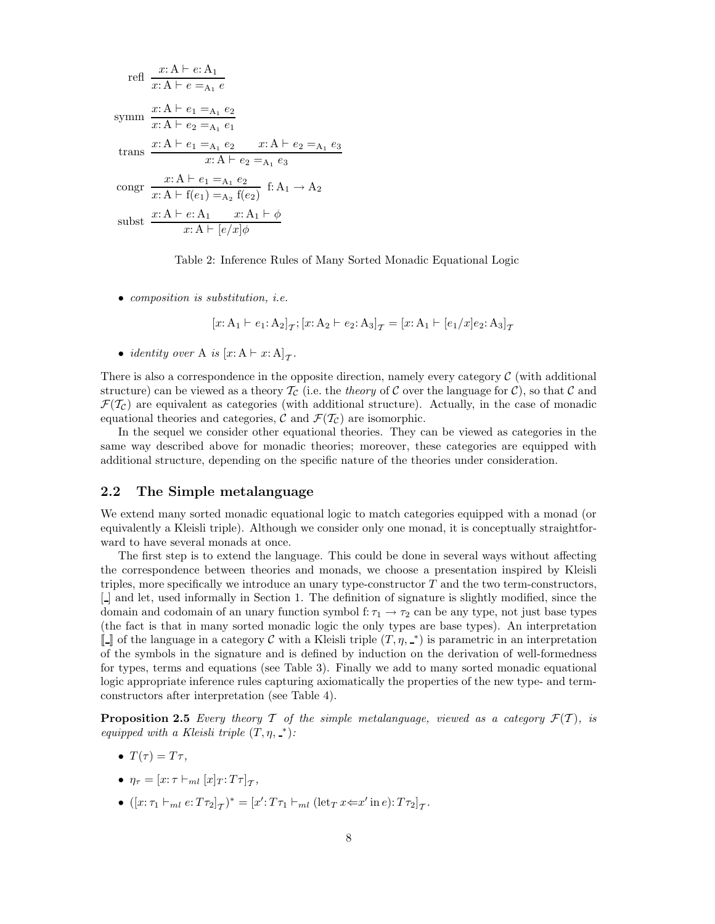refl 
$$
\frac{x: A \vdash e: A_1}{x: A \vdash e =_{A_1} e}
$$
  
\nsymm 
$$
\frac{x: A \vdash e_1 =_{A_1} e_2}{x: A \vdash e_2 =_{A_1} e_1}
$$
  
\ntrans 
$$
\frac{x: A \vdash e_1 =_{A_1} e_2}{x: A \vdash e_2 =_{A_1} e_3}
$$
  
\ncongr 
$$
\frac{x: A \vdash e_1 =_{A_1} e_2}{x: A \vdash f(e_1) =_{A_2} f(e_2)} \quad f: A_1 \to A_2
$$
  
\nsubset 
$$
\frac{x: A \vdash e: A_1}{x: A \vdash [e/x]\phi}
$$



• composition is substitution, *i.e.* 

$$
[x: A_1 \vdash e_1: A_2]_T; [x: A_2 \vdash e_2: A_3]_T = [x: A_1 \vdash [e_1/x]_2: A_3]_T
$$

• *identity over* A *is*  $[x: A \vdash x:A]_T$ .

There is also a correspondence in the opposite direction, namely every category  $\mathcal C$  (with additional structure) can be viewed as a theory  $\mathcal{T}_{\mathcal{C}}$  (i.e. the theory of C over the language for C), so that C and  $\mathcal{F}(\mathcal{T}_c)$  are equivalent as categories (with additional structure). Actually, in the case of monadic equational theories and categories, C and  $\mathcal{F}(\mathcal{T}_{\mathcal{C}})$  are isomorphic.

In the sequel we consider other equational theories. They can be viewed as categories in the same way described above for monadic theories; moreover, these categories are equipped with additional structure, depending on the specific nature of the theories under consideration.

### 2.2 The Simple metalanguage

We extend many sorted monadic equational logic to match categories equipped with a monad (or equivalently a Kleisli triple). Although we consider only one monad, it is conceptually straightforward to have several monads at once.

The first step is to extend the language. This could be done in several ways without affecting the correspondence between theories and monads, we choose a presentation inspired by Kleisli triples, more specifically we introduce an unary type-constructor  $T$  and the two term-constructors, [ ] and let, used informally in Section 1. The definition of signature is slightly modified, since the domain and codomain of an unary function symbol f:  $\tau_1 \rightarrow \tau_2$  can be any type, not just base types (the fact is that in many sorted monadic logic the only types are base types). An interpretation [] of the language in a category C with a Kleisli triple  $(T, \eta, \underline{\ }^*)$  is parametric in an interpretation of the symbols in the signature and is defined by induction on the derivation of well-formedness for types, terms and equations (see Table 3). Finally we add to many sorted monadic equational logic appropriate inference rules capturing axiomatically the properties of the new type- and termconstructors after interpretation (see Table 4).

**Proposition 2.5** Every theory T of the simple metalanguage, viewed as a category  $\mathcal{F}(T)$ , is equipped with a Kleisli triple  $(T, \eta, \underline{\ }^*)$ :

- $T(\tau) = T\tau$ ,
- $\eta_{\tau} = [x : \tau \vdash_{ml} [x]_T : T\tau]_{\tau},$
- $([x: \tau_1 \vdash_{ml} e: T\tau_2]_{\mathcal{T}})^* = [x': T\tau_1 \vdash_{ml} (\text{let}_T x \Leftarrow x' \text{ in } e): T\tau_2]_{\mathcal{T}}.$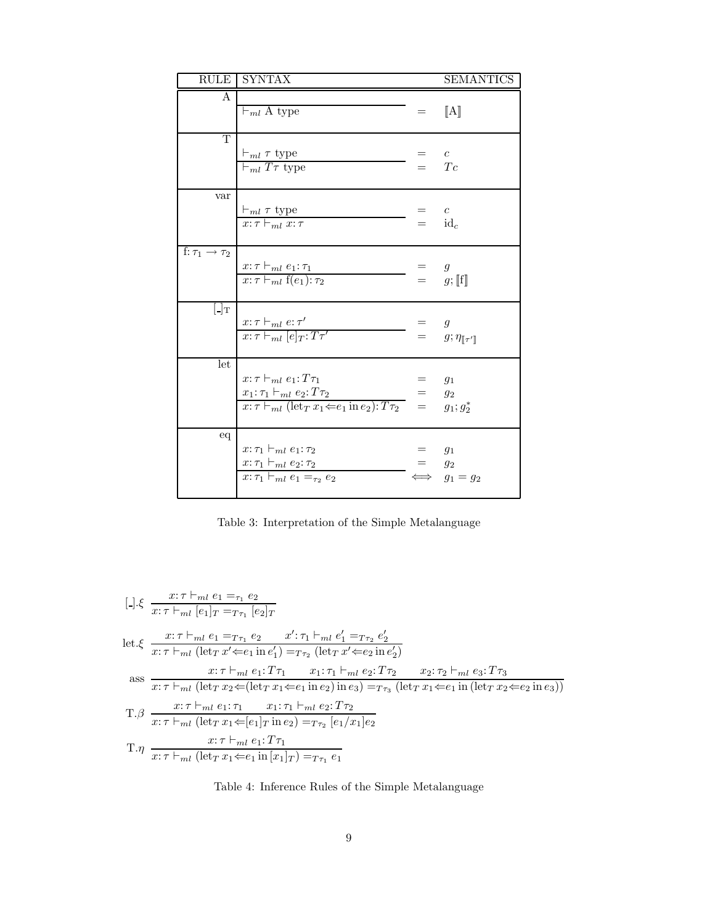|                                | RULE SYNTAX                                                                                                                                                                                                                         |                       | <b>SEMANTICS</b>                                   |
|--------------------------------|-------------------------------------------------------------------------------------------------------------------------------------------------------------------------------------------------------------------------------------|-----------------------|----------------------------------------------------|
| A                              | $\vdash_{ml} A$ type                                                                                                                                                                                                                | $=$                   | $\llbracket A \rrbracket$                          |
| $\overline{T}$                 | $\frac{\vdash_{ml} \tau \text{ type}}{\vdash_{ml} T\tau \text{ type}}$                                                                                                                                                              | $=$ $c$               | $=$ Tc                                             |
| var                            | $\vdash_{ml} \tau$ type<br>$x: \tau \vdash_{ml} x: \tau$                                                                                                                                                                            | $=$ $c$<br>$=$ $id_c$ |                                                    |
| f: $\tau_1 \rightarrow \tau_2$ | $\frac{x:\tau\vdash_{ml}e_1:\tau_1}{x:\tau\vdash_{ml}f(e_1):\tau_2}$                                                                                                                                                                | $=$ g                 | $= g;[[f]]$                                        |
| $\lfloor \cdot \rfloor_T$      | $\frac{x:\tau\vdash_{ml}e:\tau'}{x:\tau\vdash_{ml}[e]_T:T\tau'}$                                                                                                                                                                    |                       | = $g$<br>= $g; \eta_{\llbracket \tau' \rrbracket}$ |
| let                            | $x: \tau \vdash_{ml} e_1: T\tau_1$<br>$x_1{:}\tau_1 \vdash_{ml} e_2{:}T\tau_2$<br>$\frac{x_1:\tau_1 \vdash_{ml} e_2:T\tau_2}{x:\tau \vdash_{ml} (\text{let}_T x_1 \Leftarrow e_1 \text{ in } e_2):T\tau_2} = g_2$<br>$= g_1; g_2^*$ |                       | $g_1$                                              |
| eq                             | $x: \tau_1 \vdash_{ml} e_1: \tau_2$<br>$x: \tau_1 \vdash_{ml} e_2: \tau_2$<br>$x: \tau_1 \vdash_{ml} e_1 =_{\tau_2} e_2$                                                                                                            | $=$ $g_2$             | $g_1$<br>$g_1 = g_2$                               |

Table 3: Interpretation of the Simple Metalanguage

$$
[.]\xi \frac{x:\tau \vdash_{ml} e_1 =_{\tau_1} e_2}{x:\tau \vdash_{ml} [e_1]_T =_{T\tau_1} [e_2]_T}
$$
\n
$$
let.\xi \frac{x:\tau \vdash_{ml} e_1 =_{T\tau_1} e_2 \quad x':\tau_1 \vdash_{ml} e'_1 =_{T\tau_2} e'_2}{x:\tau \vdash_{ml} (let_T x' \Leftarrow e_1 in e'_1) =_{T\tau_2} (let_T x' \Leftarrow e_2 in e'_2)}
$$
\n
$$
\text{ass} \frac{x:\tau \vdash_{ml} e_1: T\tau_1 \quad x_1:\tau_1 \vdash_{ml} e_2: T\tau_2 \quad x_2:\tau_2 \vdash_{ml} e_3: T\tau_3}{x:\tau \vdash_{ml} (let_T x_2 \Leftarrow (let_T x_1 \Leftarrow e_1 in e_2) in e_3) =_{T\tau_3} (let_T x_1 \Leftarrow e_1 in (let_T x_2 \Leftarrow e_2 in e_3))}
$$
\n
$$
T.\beta \frac{x:\tau \vdash_{ml} e_1:\tau_1 \quad x_1:\tau_1 \vdash_{ml} e_2: T\tau_2}{x:\tau \vdash_{ml} (let_T x_1 \Leftarrow [e_1]_T in e_2) =_{T\tau_2} [e_1/x_1]e_2}
$$
\n
$$
T.\eta \frac{x:\tau \vdash_{ml} (let_T x_1 \Leftarrow e_1 in [x_1]_T) =_{T\tau_1} e_1}{x:\tau \vdash_{ml} (let_T x_1 \Leftarrow e_1 in [x_1]_T) =_{T\tau_1} e_1}
$$

Table 4: Inference Rules of the Simple Metalanguage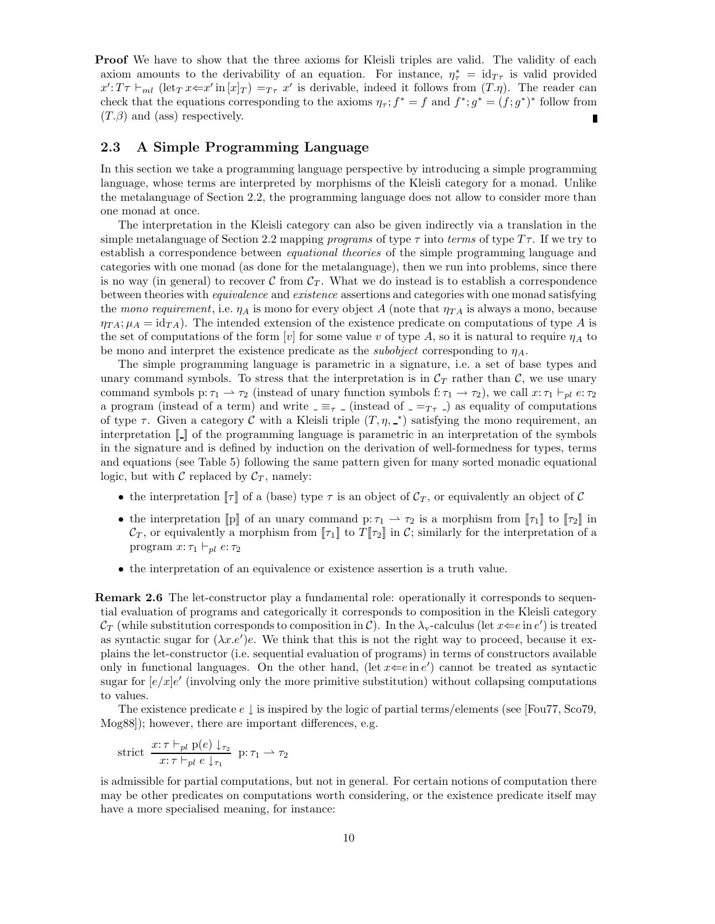**Proof** We have to show that the three axioms for Kleisli triples are valid. The validity of each axiom amounts to the derivability of an equation. For instance,  $\eta_{\tau}^* = id_{T_{\tau}}$  is valid provided  $x': T\tau \vdash_{ml} (\text{let}_T x \leftarrow x' \text{ in } [x]_T) =_{T\tau} x'$  is derivable, indeed it follows from  $(T.\eta)$ . The reader can check that the equations corresponding to the axioms  $\eta_{\tau}$ ;  $f^* = f$  and  $f^*$ ;  $g^* = (f; g^*)^*$  follow from  $(T.\beta)$  and (ass) respectively. Г

### 2.3 A Simple Programming Language

In this section we take a programming language perspective by introducing a simple programming language, whose terms are interpreted by morphisms of the Kleisli category for a monad. Unlike the metalanguage of Section 2.2, the programming language does not allow to consider more than one monad at once.

The interpretation in the Kleisli category can also be given indirectly via a translation in the simple metalanguage of Section 2.2 mapping *programs* of type  $\tau$  into terms of type  $T\tau$ . If we try to establish a correspondence between equational theories of the simple programming language and categories with one monad (as done for the metalanguage), then we run into problems, since there is no way (in general) to recover  $\mathcal C$  from  $\mathcal C_T$ . What we do instead is to establish a correspondence between theories with equivalence and existence assertions and categories with one monad satisfying the mono requirement, i.e.  $\eta_A$  is mono for every object A (note that  $\eta_{TA}$  is always a mono, because  $\eta_{TA}$ ;  $\mu_A = \text{id}_{TA}$ ). The intended extension of the existence predicate on computations of type A is the set of computations of the form [v] for some value v of type A, so it is natural to require  $\eta_A$  to be mono and interpret the existence predicate as the *subobject* corresponding to  $\eta_A$ .

The simple programming language is parametric in a signature, i.e. a set of base types and unary command symbols. To stress that the interpretation is in  $\mathcal{C}_T$  rather than  $\mathcal{C}$ , we use unary command symbols p:  $\tau_1 \to \tau_2$  (instead of unary function symbols f:  $\tau_1 \to \tau_2$ ), we call  $x: \tau_1 \vdash_{pl} e: \tau_2$ a program (instead of a term) and write  $=\equiv_{\tau}$  (instead of  $=-T_{\tau}$ ) as equality of computations of type  $\tau$ . Given a category C with a Kleisli triple  $(T, \eta, \_*)$  satisfying the mono requirement, an interpretation  $\llbracket \cdot \rrbracket$  of the programming language is parametric in an interpretation of the symbols in the signature and is defined by induction on the derivation of well-formedness for types, terms and equations (see Table 5) following the same pattern given for many sorted monadic equational logic, but with C replaced by  $C_T$ , namely:

- the interpretation  $\llbracket \tau \rrbracket$  of a (base) type  $\tau$  is an object of  $\mathcal{C}_T$ , or equivalently an object of  $\mathcal{C}$
- the interpretation [p] of an unary command p:  $\tau_1 \rightarrow \tau_2$  is a morphism from  $[\![\tau_1]\!]$  to  $[\![\tau_2]\!]$  in  $\mathcal{C}_T$ , or equivalently a morphism from  $[\![\tau_1]\!]$  to  $T[\![\tau_2]\!]$  in  $\mathcal{C}$ ; similarly for the interpretation of a program  $x: \tau_1 \vdash_{pl} e: \tau_2$
- the interpretation of an equivalence or existence assertion is a truth value.

Remark 2.6 The let-constructor play a fundamental role: operationally it corresponds to sequential evaluation of programs and categorically it corresponds to composition in the Kleisli category  $\mathcal{C}_T$  (while substitution corresponds to composition in  $\mathcal{C}$ ). In the  $\lambda_{\rm v}$ -calculus (let  $x \Leftarrow e$  in  $e'$ ) is treated as syntactic sugar for  $(\lambda x.e')e$ . We think that this is not the right way to proceed, because it explains the let-constructor (i.e. sequential evaluation of programs) in terms of constructors available only in functional languages. On the other hand, (let  $x \Leftarrow e$  in  $e'$ ) cannot be treated as syntactic sugar for  $[e/x]e'$  (involving only the more primitive substitution) without collapsing computations to values.

The existence predicate  $e \downarrow$  is inspired by the logic of partial terms/elements (see [Fou77, Sco79, Mog88]); however, there are important differences, e.g.

$$
strict \frac{x:\tau \vdash_{pl} p(e) \downarrow_{\tau_2}}{x:\tau \vdash_{pl} e \downarrow_{\tau_1}} p:\tau_1 \rightharpoonup \tau_2
$$

is admissible for partial computations, but not in general. For certain notions of computation there may be other predicates on computations worth considering, or the existence predicate itself may have a more specialised meaning, for instance: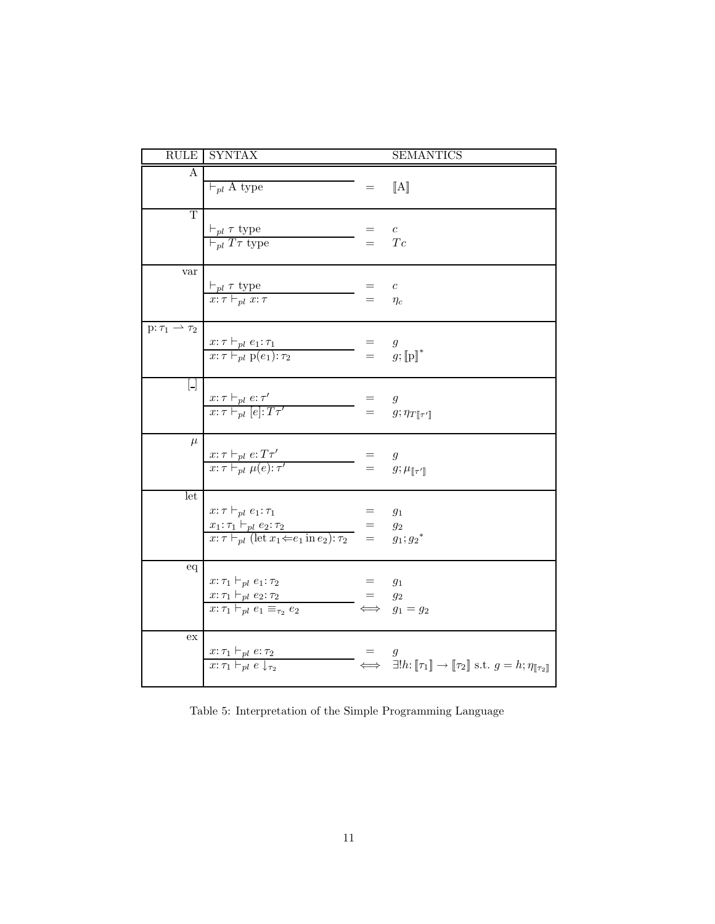|                                        | <b>RULE SYNTAX</b>                                                                                                                                                                    |              | <b>SEMANTICS</b>                                                                                                                            |
|----------------------------------------|---------------------------------------------------------------------------------------------------------------------------------------------------------------------------------------|--------------|---------------------------------------------------------------------------------------------------------------------------------------------|
| $\overline{A}$                         | $\vdash_{pl} A$ type                                                                                                                                                                  | $=$          | [A]                                                                                                                                         |
| T                                      | $\frac{\vdash_{pl} \tau \text{ type}}{\vdash_{pl} T\tau \text{ type}}$                                                                                                                | $=$ $\qquad$ | $\boldsymbol{c}$<br>Tc                                                                                                                      |
| var                                    | $\frac{\vdash_{pl} \tau \text{ type}}{x:\tau \vdash_{pl} x:\tau}$                                                                                                                     | $=$<br>$=$   | $\boldsymbol{c}$<br>$\eta_c$                                                                                                                |
| $p: \tau_1 \rightharpoonup \tau_2$     | $\frac{x:\tau\vdash_{pl}e_1:\tau_1}{x:\tau\vdash_{pl}p(e_1):\tau_2}$                                                                                                                  |              | $=$ $g$<br>$=$ $g$ ; $[\![p]\!]^*$                                                                                                          |
| $\begin{bmatrix} 1 \\ 1 \end{bmatrix}$ | $\frac{x:\tau\vdash_{pl}e:\tau'}{x:\tau\vdash_{pl}[e]:T\tau'}$                                                                                                                        |              | $\mathfrak{g}$<br>$= g; \eta_{T[\![\tau']\!]}$                                                                                              |
| $\mu$                                  | $\frac{x:\tau\vdash_{pl}e:T\tau'}{x:\tau\vdash_{pl}\mu(e):\tau'}$                                                                                                                     | $=$<br>$=$   | $\boldsymbol{g}$<br>$g; \mu_{[\![\tau'\]]}$                                                                                                 |
| let                                    | $x: \tau \vdash_{pl} e_1: \tau_1$<br>$\frac{x_1: \tau_1 \vdash_{pl} e_2: \tau_2}{x: \tau \vdash_{pl} (\text{let } x_1 \Leftarrow e_1 \text{ in } e_2): \tau_2} = g_2$<br>$g_1: g_2^*$ | $=$ $\qquad$ | $g_1$                                                                                                                                       |
| eq                                     | $x: \tau_1 \vdash_{pl} e_1: \tau_2$<br>$x: \tau_1 \vdash_{pl} e_2: \tau_2$<br>$x:\tau_1\vdash_{pl} e_1 \equiv_{\tau_2} e_2$                                                           |              | $g_1$<br>$=$ $g_2$<br>$\iff g_1 = g_2$                                                                                                      |
| ex                                     | $\frac{x:\tau_1 \vdash_{pl} e:\tau_2}{x:\tau_1 \vdash_{pl} e \downarrow_{\tau_2}}$                                                                                                    |              | $\iff \exists! h{:}\llbracket \tau_1 \rrbracket \to \llbracket \tau_2 \rrbracket \text{ s.t. } g = h{:}\eta_{\llbracket \tau_2 \rrbracket}$ |

Table 5: Interpretation of the Simple Programming Language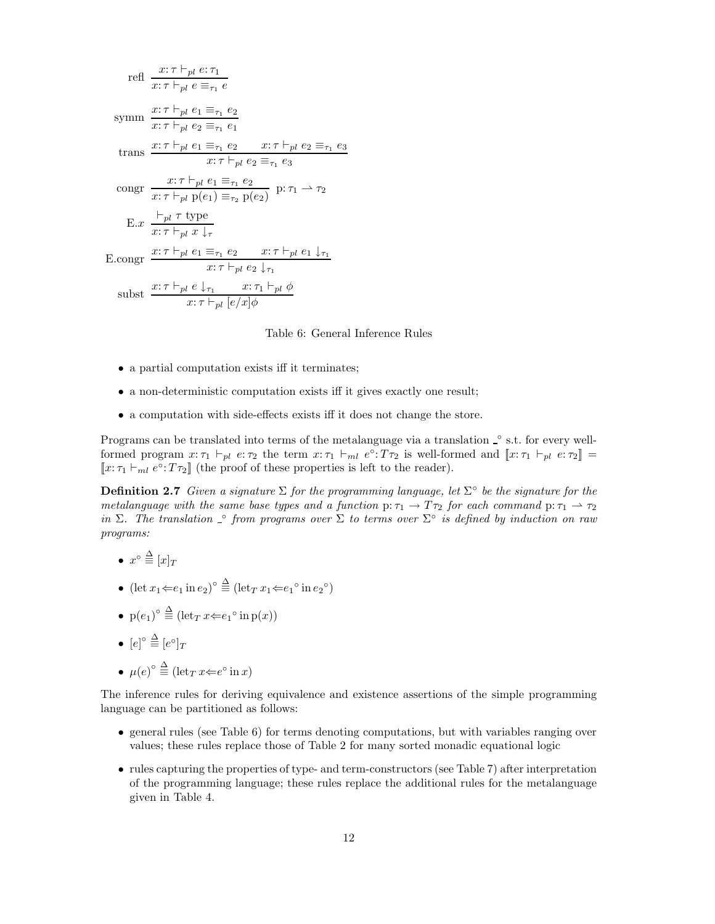refl 
$$
\frac{x:\tau \vdash_{pl} e:\tau_1}{x:\tau \vdash_{pl} e \equiv_{\tau_1} e}
$$
  
\nsymm 
$$
\frac{x:\tau \vdash_{pl} e_1 \equiv_{\tau_1} e_2}{x:\tau \vdash_{pl} e_2 \equiv_{\tau_1} e_1}
$$
  
\ntrans 
$$
\frac{x:\tau \vdash_{pl} e_1 \equiv_{\tau_1} e_2 \qquad x:\tau \vdash_{pl} e_2 \equiv_{\tau_1} e_3}{x:\tau \vdash_{pl} e_2 \equiv_{\tau_1} e_3}
$$
  
\ncongr 
$$
\frac{x:\tau \vdash_{pl} e_1 \equiv_{\tau_1} e_2}{x:\tau \vdash_{pl} p(e_1) \equiv_{\tau_2} p(e_2)} p:\tau_1 \rightarrow \tau_2
$$
  
\nE.x 
$$
\frac{\vdash_{pl} \tau \text{ type}}{x:\tau \vdash_{pl} x \downarrow_{\tau}}
$$
  
\nE.congr 
$$
\frac{x:\tau \vdash_{pl} e_1 \equiv_{\tau_1} e_2 \qquad x:\tau \vdash_{pl} e_1 \downarrow_{\tau_1}}{x:\tau \vdash_{pl} e_2 \downarrow_{\tau_1}}
$$
  
\nsubst 
$$
\frac{x:\tau \vdash_{pl} e \downarrow_{\tau_1} \qquad x:\tau_1 \vdash_{pl} \phi}{x:\tau \vdash_{pl} [e/x] \phi}
$$

#### Table 6: General Inference Rules

- a partial computation exists iff it terminates;
- a non-deterministic computation exists iff it gives exactly one result;
- a computation with side-effects exists iff it does not change the store.

Programs can be translated into terms of the metalanguage via a translation  $\degree$  s.t. for every wellformed program  $x: \tau_1 \vdash_{pl} e: \tau_2$  the term  $x: \tau_1 \vdash_{ml} e^{\circ}: T\tau_2$  is well-formed and  $[[x: \tau_1 \vdash_{pl} e: \tau_2]] =$  $\llbracket x : \tau_1 \vdash_{ml} e^{\circ} : T\tau_2 \rrbracket$  (the proof of these properties is left to the reader).

**Definition 2.7** Given a signature  $\Sigma$  for the programming language, let  $\Sigma^{\circ}$  be the signature for the metalanguage with the same base types and a function p:  $\tau_1 \to T\tau_2$  for each command p:  $\tau_1 \to \tau_2$ in  $\Sigma$ . The translation  $\hat{\ }$  from programs over  $\Sigma$  to terms over  $\Sigma$ <sup>o</sup> is defined by induction on raw programs:

- $x^{\circ} \stackrel{\Delta}{\equiv} [x]_T$
- $(\text{let } x_1 \leftarrow e_1 \text{ in } e_2)^\circ \stackrel{\Delta}{\equiv} (\text{let}_T x_1 \leftarrow e_1^\circ \text{ in } e_2^\circ)$
- $p(e_1)^{\circ} \stackrel{\Delta}{\equiv} (\operatorname{let}_T x \leftarrow e_1^{\circ} \operatorname{in} p(x))$
- $\bullet \ \ [e]^\circ \stackrel{\Delta}{\equiv} [e^\circ]_T$
- $\mu(e)^\circ \stackrel{\Delta}{\equiv} (\det_T x \in e^\circ \text{ in } x)$

The inference rules for deriving equivalence and existence assertions of the simple programming language can be partitioned as follows:

- general rules (see Table 6) for terms denoting computations, but with variables ranging over values; these rules replace those of Table 2 for many sorted monadic equational logic
- rules capturing the properties of type- and term-constructors (see Table 7) after interpretation of the programming language; these rules replace the additional rules for the metalanguage given in Table 4.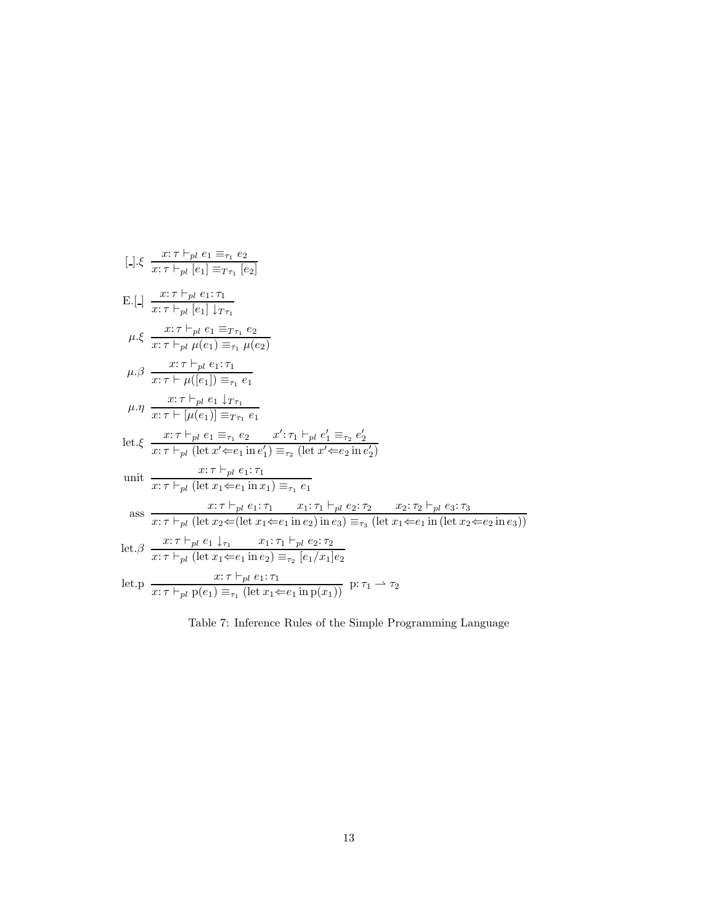$$
[.]\xi \frac{x:\tau \vdash_{pl} e_1 \equiv_{\tau_1} e_2}{x:\tau \vdash_{pl} [e_1] \equiv_{T\tau_1} [e_2]}
$$
\n
$$
E.[.] \frac{x:\tau \vdash_{pl} e_1:\tau_1}{x:\tau \vdash_{pl} [e_1] \downarrow \tau_1}
$$
\n
$$
\mu.\xi \frac{x:\tau \vdash_{pl} e_1:\tau_1}{x:\tau \vdash_{pl} \mu(e_1) \equiv_{\tau_1} \mu(e_2)}
$$
\n
$$
\mu.\beta \frac{x:\tau \vdash_{pl} e_1:\tau_1}{x:\tau \vdash \mu(e_1)] \equiv_{\tau_1} e_1}
$$
\n
$$
\mu.\eta \frac{x:\tau \vdash_{pl} e_1 \downarrow \tau_1}{x:\tau \vdash [\mu(e_1)] \equiv_{T\tau_1} e_1}
$$
\n
$$
let.\xi \frac{x:\tau \vdash_{pl} e_1 \equiv_{\tau_1} e_2 \qquad x':\tau_1 \vdash_{pl} e'_1 \equiv_{\tau_2} e'_2}{x:\tau \vdash_{pl} (let x' \Leftarrow_{l} in e'_1) \equiv_{\tau_2} (let x' \Leftarrow_{l} in e'_2)}
$$
\n
$$
unit \frac{x:\tau \vdash_{pl} e_1:\tau_1}{x:\tau \vdash_{pl} (let x_1 \Leftarrow_{l} in x_1) \equiv_{\tau_1} e_1}
$$
\n
$$
ass \frac{x:\tau \vdash_{pl} e_1:\tau_1}{x:\tau \vdash_{pl} (let x_2 \Leftarrow (let x_1 \Leftarrow_{l} in e_2) in e_3) \equiv_{\tau_3} (let x_1 \Leftarrow_{l} in (let x_2 \Leftarrow_{l} in e_3))}
$$
\n
$$
let.\beta \frac{x:\tau \vdash_{pl} e_1 \downarrow \tau_1}{x:\tau \vdash_{pl} (let x_1 \Leftarrow_{l} in e_2) \equiv_{\tau_2} [e_1/x_1]e_2}
$$
\n
$$
let.p \frac{x:\tau \vdash_{pl} e_1:\tau_1}{x:\tau \vdash_{pl} (let x_1 \Leftarrow_{l} in e_2) \equiv_{\tau_2} [e_1/x_1]e_2}
$$
\n
$$
let.p \frac{x:\tau \vdash_{pl} e_1:\tau_1}{x:\tau \vdash
$$

Table 7: Inference Rules of the Simple Programming Language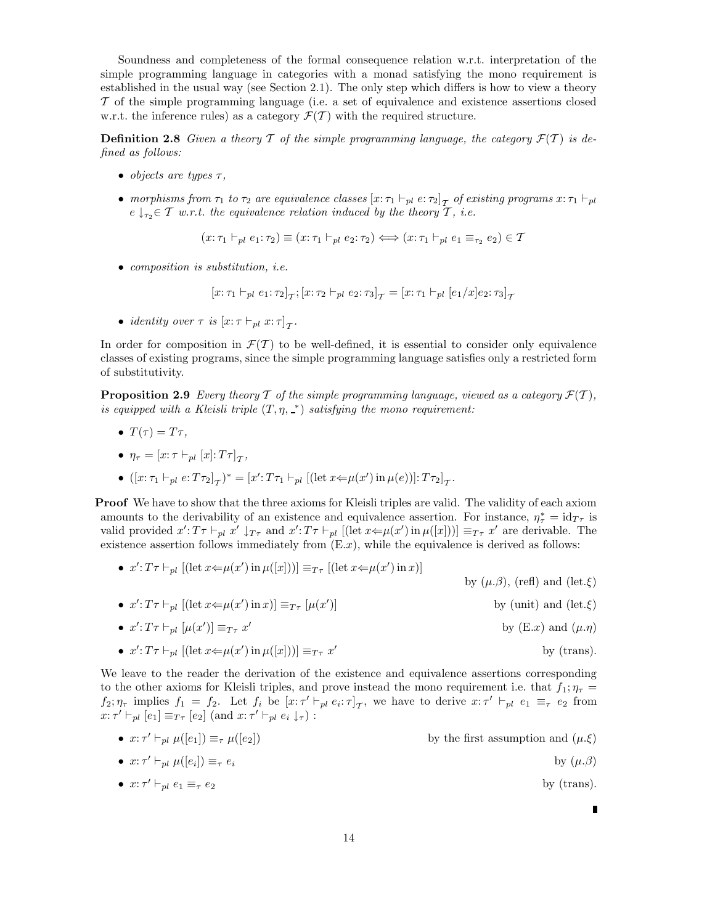Soundness and completeness of the formal consequence relation w.r.t. interpretation of the simple programming language in categories with a monad satisfying the mono requirement is established in the usual way (see Section 2.1). The only step which differs is how to view a theory T of the simple programming language (i.e. a set of equivalence and existence assertions closed w.r.t. the inference rules) as a category  $\mathcal{F}(\mathcal{T})$  with the required structure.

**Definition 2.8** Given a theory T of the simple programming language, the category  $\mathcal{F}(T)$  is defined as follows:

- objects are types  $\tau$ ,
- morphisms from  $\tau_1$  to  $\tau_2$  are equivalence classes  $[x:\tau_1 \vdash_{pl} e:\tau_2]_{\mathcal{T}}$  of existing programs  $x:\tau_1 \vdash_{pl} e$  $e \downarrow_{\tau_2} \in \mathcal{T}$  w.r.t. the equivalence relation induced by the theory  $\mathcal{T}$ , i.e.

$$
(x:\tau_1 \vdash_{pl} e_1:\tau_2) \equiv (x:\tau_1 \vdash_{pl} e_2:\tau_2) \Longleftrightarrow (x:\tau_1 \vdash_{pl} e_1 \equiv_{\tau_2} e_2) \in \mathcal{T}
$$

• composition is substitution, *i.e.* 

$$
[x:\tau_1 \vdash_{pl} e_1:\tau_2]_{\mathcal{T}}; [x:\tau_2 \vdash_{pl} e_2:\tau_3]_{\mathcal{T}} = [x:\tau_1 \vdash_{pl} [e_1/x]_{e_2}:\tau_3]_{\mathcal{T}}
$$

• identity over  $\tau$  is  $[x:\tau \vdash_{pl} x:\tau]_{\mathcal{T}}$ .

In order for composition in  $\mathcal{F}(T)$  to be well-defined, it is essential to consider only equivalence classes of existing programs, since the simple programming language satisfies only a restricted form of substitutivity.

**Proposition 2.9** Every theory T of the simple programming language, viewed as a category  $\mathcal{F}(T)$ , is equipped with a Kleisli triple  $(T, \eta, \rightharpoonup)$  satisfying the mono requirement:

•  $T(\tau) = T\tau$ ,

• 
$$
\eta_{\tau} = [x: \tau \vdash_{pl} [x]:T\tau]_{\mathcal{T}},
$$

•  $([x: \tau_1 \vdash_{pl} e: T\tau_2]_{\mathcal{T}})^* = [x': T\tau_1 \vdash_{pl} [(\mathrm{let}\ x \Leftrightarrow \mu(x') \mathrm{ in}\ \mu(e))] : T\tau_2]_{\mathcal{T}}.$ 

Proof We have to show that the three axioms for Kleisli triples are valid. The validity of each axiom amounts to the derivability of an existence and equivalence assertion. For instance,  $\eta^*_{\tau} = id_{T_{\tau}}$  is valid provided  $x': T \tau \vdash_{pl} x' \downarrow_{T\tau}$  and  $x': T \tau \vdash_{pl} [(\text{let } x \Leftarrow \mu(x') \text{ in } \mu([x]))] \equiv_{T\tau} x'$  are derivable. The existence assertion follows immediately from  $(E.x)$ , while the equivalence is derived as follows:

\n- \n
$$
x': T\tau \vdash_{pl} [(\text{let } x \Leftarrow \mu(x') \text{ in } \mu([x]))] \equiv_{T\tau} [(\text{let } x \Leftarrow \mu(x') \text{ in } x)]
$$
\n by  $(\mu.\beta)$ , (refl) and  $(\text{let.}\xi)$ \n
\n- \n
$$
x': T\tau \vdash_{pl} [(\text{let } x \Leftarrow \mu(x') \text{ in } x)] \equiv_{T\tau} [\mu(x')]
$$
\n by (unit) and  $(\text{let.}\xi)$ \n
\n

• 
$$
x': T\tau \vdash_{pl} [\mu(x')] \equiv_{T\tau} x'
$$
 by (E.x) and  $(\mu.\eta)$ 

• 
$$
x': T\tau \vdash_{pl} [(\text{let } x \Leftarrow \mu(x') \text{ in } \mu([x]))] \equiv_{T\tau} x'
$$
 by (trans).

We leave to the reader the derivation of the existence and equivalence assertions corresponding to the other axioms for Kleisli triples, and prove instead the mono requirement i.e. that  $f_1$ ;  $\eta_{\tau}$  $f_2; \eta_{\tau}$  implies  $f_1 = f_2$ . Let  $f_i$  be  $[x; \tau' \vdash_{pl} e_i; \tau]_{\tau}$ , we have to derive  $x; \tau' \vdash_{pl} e_1 \equiv_{\tau} e_2$  from  $x: \tau' \vdash_{pl} [e_1] \equiv_{T\tau} [e_2]$  (and  $x: \tau' \vdash_{pl} e_i \downarrow_{\tau}$ ) :

•  $x: \tau' \vdash_{pl} \mu([e_1]) \equiv_{\tau} \mu([e_2])$ by the first assumption and  $(\mu.\xi)$ 

• 
$$
x: \tau' \vdash_{pl} \mu([e_i]) \equiv_{\tau} e_i
$$
 by  $(\mu.\beta)$ 

•  $x: \tau' \vdash_{pl} e_1 \equiv_{\tau} e_2$  by (trans).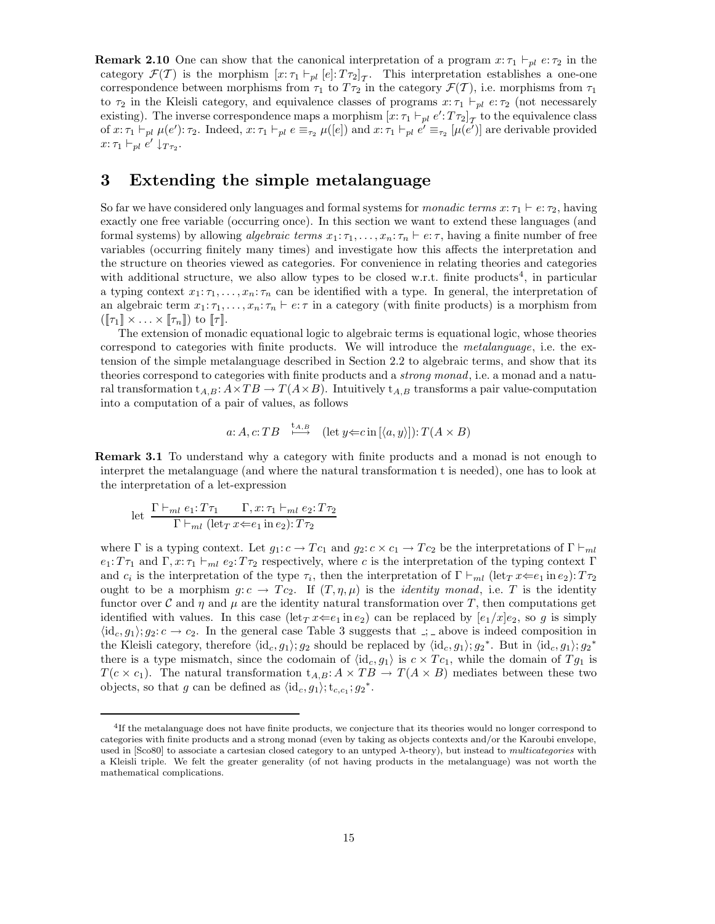**Remark 2.10** One can show that the canonical interpretation of a program  $x: \tau_1 \vdash_{pl} e: \tau_2$  in the category  $\mathcal{F}(\mathcal{T})$  is the morphism  $[x:\tau_1 \vdash_{pl} [e]:T\tau_2]_{\mathcal{T}}$ . This interpretation establishes a one-one correspondence between morphisms from  $\tau_1$  to  $T\tau_2$  in the category  $\mathcal{F}(T)$ , i.e. morphisms from  $\tau_1$ to  $\tau_2$  in the Kleisli category, and equivalence classes of programs  $x:\tau_1 \vdash_{pl} e:\tau_2$  (not necessarely existing). The inverse correspondence maps a morphism  $[x:\tau_1 \vdash_{pl} e':T\tau_2]_{\mathcal{T}}$  to the equivalence class of  $x: \tau_1 \vdash_{pl} \mu(e') : \tau_2$ . Indeed,  $x: \tau_1 \vdash_{pl} e \equiv_{\tau_2} \mu([e])$  and  $x: \tau_1 \vdash_{pl} e' \equiv_{\tau_2} [\mu(e')]$  are derivable provided  $x: \tau_1 \vdash_{pl} e' \downarrow_{T\tau_2}.$ 

## 3 Extending the simple metalanguage

So far we have considered only languages and formal systems for *monadic terms*  $x: \tau_1 \vdash e: \tau_2$ , having exactly one free variable (occurring once). In this section we want to extend these languages (and formal systems) by allowing *algebraic terms*  $x_1: \tau_1, \ldots, x_n: \tau_n \vdash e: \tau$ , having a finite number of free variables (occurring finitely many times) and investigate how this affects the interpretation and the structure on theories viewed as categories. For convenience in relating theories and categories with additional structure, we also allow types to be closed w.r.t. finite products<sup>4</sup>, in particular a typing context  $x_1: \tau_1, \ldots, x_n: \tau_n$  can be identified with a type. In general, the interpretation of an algebraic term  $x_1: \tau_1, \ldots, x_n: \tau_n \vdash e: \tau$  in a category (with finite products) is a morphism from  $(\llbracket \tau_1 \rrbracket \times \ldots \times \llbracket \tau_n \rrbracket)$  to  $\llbracket \tau \rrbracket$ .

The extension of monadic equational logic to algebraic terms is equational logic, whose theories correspond to categories with finite products. We will introduce the metalanguage, i.e. the extension of the simple metalanguage described in Section 2.2 to algebraic terms, and show that its theories correspond to categories with finite products and a *strong monad*, i.e. a monad and a natural transformation  $t_{A,B}: A \times TB \to T(A \times B)$ . Intuitively  $t_{A,B}$  transforms a pair value-computation into a computation of a pair of values, as follows

$$
a: A, c: TB \xrightarrow{\text{t}_{A,B}} (\text{let } y \Leftarrow c \text{ in } [\langle a, y \rangle]): T(A \times B)
$$

Remark 3.1 To understand why a category with finite products and a monad is not enough to interpret the metalanguage (and where the natural transformation t is needed), one has to look at the interpretation of a let-expression

let 
$$
\frac{\Gamma \vdash_{ml} e_1: T\tau_1 \qquad \Gamma, x: \tau_1 \vdash_{ml} e_2: T\tau_2}{\Gamma \vdash_{ml} (\text{let}_T x \Leftarrow e_1 \text{ in } e_2): T\tau_2}
$$

where Γ is a typing context. Let  $g_1: c \to Tc_1$  and  $g_2: c \times c_1 \to Tc_2$  be the interpretations of Γ  $\vdash_{ml}$  $e_1: T_{\tau_1}$  and  $\Gamma, x: \tau_1 \vdash_{ml} e_2: T_{\tau_2}$  respectively, where c is the interpretation of the typing context Γ and  $c_i$  is the interpretation of the type  $\tau_i$ , then the interpretation of  $\Gamma \vdash_{ml} (\text{let}_T x \Leftarrow e_1 \text{ in } e_2)$ :  $T\tau_2$ ought to be a morphism  $g: c \to Tc_2$ . If  $(T, \eta, \mu)$  is the *identity monad*, i.e. T is the identity functor over C and  $\eta$  and  $\mu$  are the identity natural transformation over T, then computations get identified with values. In this case  $(\text{let}_T x \Leftarrow e_1 \text{ in } e_2)$  can be replaced by  $[e_1/x]e_2$ , so g is simply  $\langle id_c, g_1 \rangle$ ;  $g_2: c \to c_2$ . In the general case Table 3 suggests that  $\therefore$  above is indeed composition in the Kleisli category, therefore  $\langle id_c, g_1 \rangle$ ;  $g_2$  should be replaced by  $\langle id_c, g_1 \rangle$ ;  $g_2^*$ . But in  $\langle id_c, g_1 \rangle$ ;  $g_2^*$ there is a type mismatch, since the codomain of  $\langle id_c, g_1 \rangle$  is  $c \times T_{c_1}$ , while the domain of  $T_{g_1}$  is  $T(c \times c_1)$ . The natural transformation  $t_{A,B}: A \times TB \rightarrow T(A \times B)$  mediates between these two objects, so that g can be defined as  $\langle id_c, g_1 \rangle; t_{c,c_1}; g_2^*$ .

<sup>&</sup>lt;sup>4</sup>If the metalanguage does not have finite products, we conjecture that its theories would no longer correspond to categories with finite products and a strong monad (even by taking as objects contexts and/or the Karoubi envelope, used in  $[Sco80]$  to associate a cartesian closed category to an untyped  $\lambda$ -theory), but instead to multicategories with a Kleisli triple. We felt the greater generality (of not having products in the metalanguage) was not worth the mathematical complications.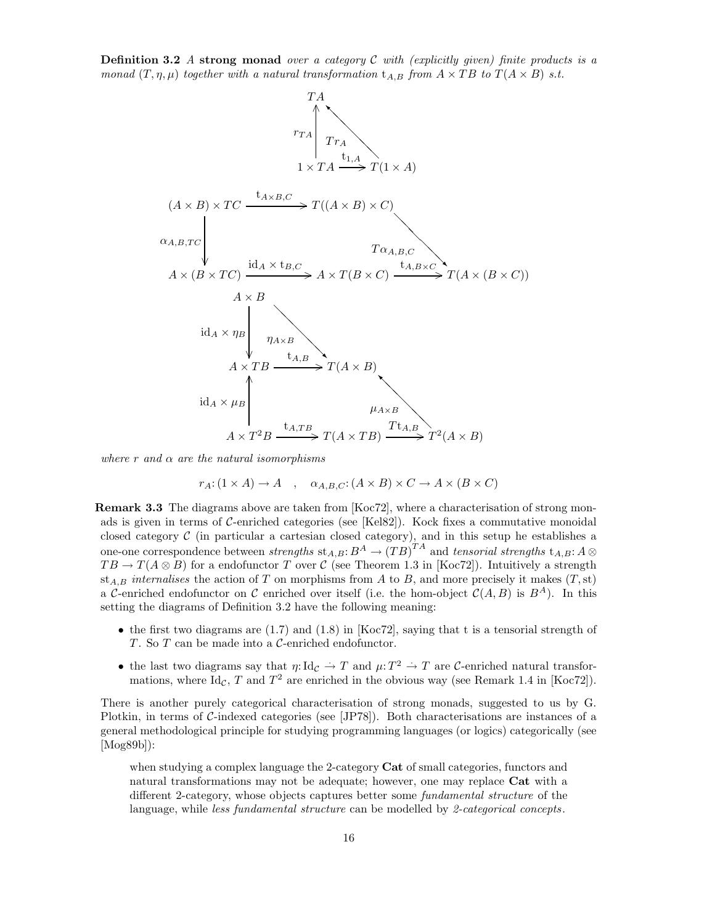**Definition 3.2** A strong monad over a category C with (explicitly given) finite products is a monad  $(T, \eta, \mu)$  together with a natural transformation  $t_{A,B}$  from  $A \times TB$  to  $T(A \times B)$  s.t.



where r and  $\alpha$  are the natural isomorphisms

$$
r_A: (1 \times A) \to A \quad , \quad \alpha_{A,B,C}: (A \times B) \times C \to A \times (B \times C)
$$

**Remark 3.3** The diagrams above are taken from  $[Koc72]$ , where a characterisation of strong monads is given in terms of  $C$ -enriched categories (see [Kel82]). Kock fixes a commutative monoidal closed category  $\mathcal C$  (in particular a cartesian closed category), and in this setup he establishes a one-one correspondence between strengths  $\operatorname{st}_{A,B}:B^A\to (TB)^{TA}$  and tensorial strengths  $\operatorname{t}_{A,B}:A\otimes B^A$  $TB \to T(A \otimes B)$  for a endofunctor T over C (see Theorem 1.3 in [Koc72]). Intuitively a strength st<sub>A,B</sub> internalises the action of T on morphisms from A to B, and more precisely it makes  $(T, st)$ a C-enriched endofunctor on C enriched over itself (i.e. the hom-object  $\mathcal{C}(A, B)$  is  $B^A$ ). In this setting the diagrams of Definition 3.2 have the following meaning:

- the first two diagrams are  $(1.7)$  and  $(1.8)$  in [Koc72], saying that t is a tensorial strength of T. So T can be made into a C-enriched endofunctor.
- the last two diagrams say that  $\eta: \text{Id}_{\mathcal{C}} \to T$  and  $\mu: T^2 \to T$  are C-enriched natural transformations, where  $\text{Id}_{\mathcal{C}}$ , T and  $T^2$  are enriched in the obvious way (see Remark 1.4 in [Koc72]).

There is another purely categorical characterisation of strong monads, suggested to us by G. Plotkin, in terms of C-indexed categories (see [JP78]). Both characterisations are instances of a general methodological principle for studying programming languages (or logics) categorically (see [Mog89b]):

when studying a complex language the 2-category Cat of small categories, functors and natural transformations may not be adequate; however, one may replace Cat with a different 2-category, whose objects captures better some fundamental structure of the language, while *less fundamental structure* can be modelled by 2-categorical concepts.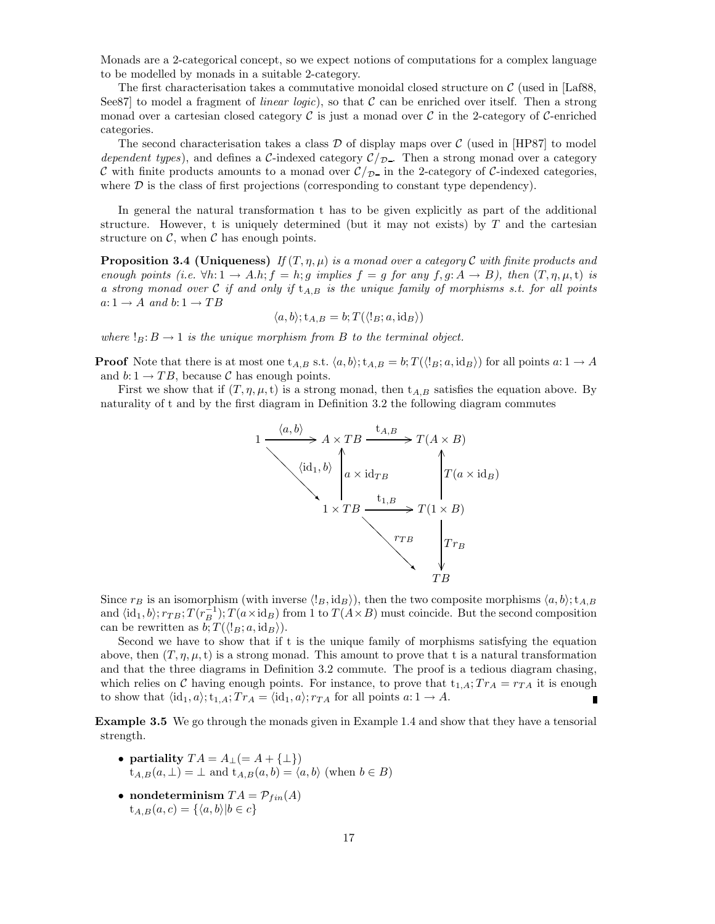Monads are a 2-categorical concept, so we expect notions of computations for a complex language to be modelled by monads in a suitable 2-category.

The first characterisation takes a commutative monoidal closed structure on  $\mathcal{C}$  (used in [Laf88, See87 to model a fragment of *linear logic*), so that  $\mathcal C$  can be enriched over itself. Then a strong monad over a cartesian closed category  $\mathcal C$  is just a monad over  $\mathcal C$  in the 2-category of  $\mathcal C$ -enriched categories.

The second characterisation takes a class  $\mathcal D$  of display maps over  $\mathcal C$  (used in [HP87] to model dependent types), and defines a C-indexed category  $\mathcal{C}/\mathcal{D}$ . Then a strong monad over a category C with finite products amounts to a monad over  $\mathcal{C}/_{\mathcal{D}}$  in the 2-category of C-indexed categories, where  $D$  is the class of first projections (corresponding to constant type dependency).

In general the natural transformation t has to be given explicitly as part of the additional structure. However, t is uniquely determined (but it may not exists) by  $T$  and the cartesian structure on  $\mathcal{C}$ , when  $\mathcal{C}$  has enough points.

**Proposition 3.4 (Uniqueness)** If  $(T, \eta, \mu)$  is a monad over a category C with finite products and enough points (i.e.  $\forall h: 1 \rightarrow A.h; f = h; g$  implies  $f = g$  for any  $f, g: A \rightarrow B$ ), then  $(T, \eta, \mu, t)$  is a strong monad over  $C$  if and only if  $t_{A,B}$  is the unique family of morphisms s.t. for all points  $a: 1 \rightarrow A$  and  $b: 1 \rightarrow TB$ 

$$
\langle a, b \rangle; t_{A,B} = b; T(\langle !_B; a, id_B \rangle)
$$

where  $!_B: B \to 1$  is the unique morphism from B to the terminal object.

**Proof** Note that there is at most one  $t_{A,B}$  s.t.  $\langle a,b\rangle$ ;  $t_{A,B} = b$ ;  $T(\langle \lg a, \text{id}_B \rangle)$  for all points  $a: 1 \to A$ and  $b\!:\!1\to TB,$  because  $\mathcal C$  has enough points.

First we show that if  $(T, \eta, \mu, t)$  is a strong monad, then  $t_{A,B}$  satisfies the equation above. By naturality of t and by the first diagram in Definition 3.2 the following diagram commutes



Since  $r_B$  is an isomorphism (with inverse  $\langle B, id_B \rangle$ ), then the two composite morphisms  $\langle a, b \rangle$ ;  $t_{A,B}$ and  $\langle id_1, b \rangle; r_{TB}; T(r_B^{-1}); T(a \times id_B)$  from 1 to  $T(A \times B)$  must coincide. But the second composition can be rewritten as  $b; T(\langle \, g; a, \mathrm{id}_B \rangle).$ 

Second we have to show that if t is the unique family of morphisms satisfying the equation above, then  $(T, \eta, \mu, t)$  is a strong monad. This amount to prove that t is a natural transformation and that the three diagrams in Definition 3.2 commute. The proof is a tedious diagram chasing, which relies on C having enough points. For instance, to prove that  $t_{1,A}$ ;  $Tr_A = r_{TA}$  it is enough to show that  $\langle id_1, a \rangle; t_{1,A}; Tr_A = \langle id_1, a \rangle; r_{TA}$  for all points  $a: 1 \rightarrow A$ .

Example 3.5 We go through the monads given in Example 1.4 and show that they have a tensorial strength.

- partiality  $TA = A_{\perp} (= A + {\perp})$  $t_{A,B}(a, \perp) = \perp$  and  $t_{A,B}(a, b) = \langle a, b \rangle$  (when  $b \in B$ )
- nondeterminism  $TA = \mathcal{P}_{fin}(A)$  $t_{A,B}(a, c) = \{\langle a, b \rangle | b \in c\}$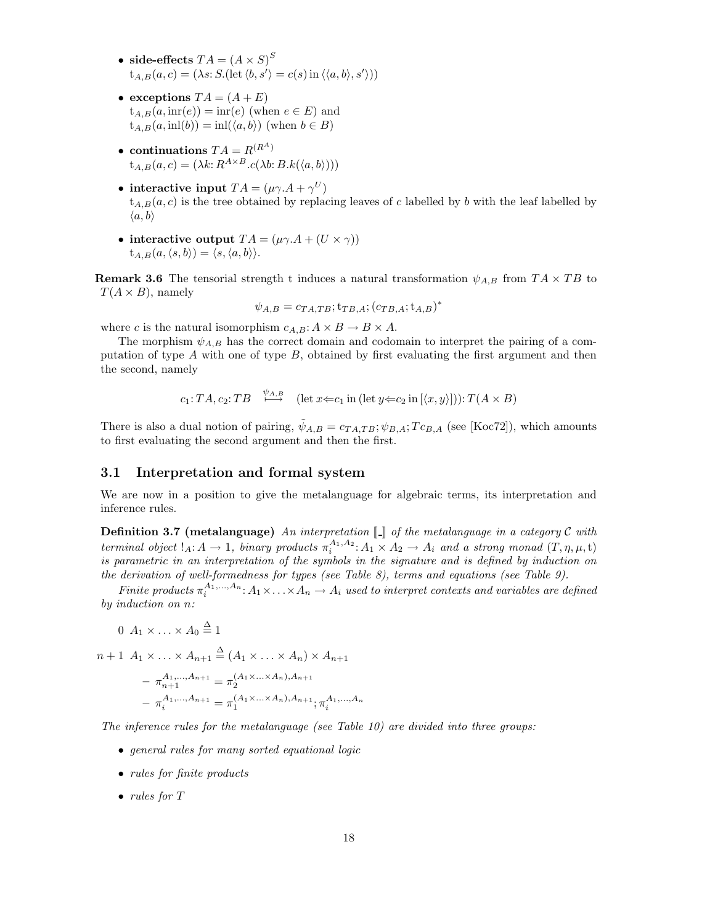- side-effects  $TA = (A \times S)^S$  $t_{A,B}(a, c) = (\lambda s: S.(\text{let } \langle b, s' \rangle = c(s) \text{ in } \langle \langle a, b \rangle, s')))$
- exceptions  $TA = (A + E)$  $t_{A,B}(a,\mathrm{inr}(e)) = \mathrm{inr}(e)$  (when  $e \in E$ ) and  $t_{A,B}(a, \text{inl}(b)) = \text{inl}(\langle a, b \rangle)$  (when  $b \in B$ )
- continuations  $TA = R^{(R^A)}$  $t_{A,B}(a, c) = (\lambda k: R^{A \times B}.c(\lambda b: B.k(\langle a, b \rangle)))$
- interactive input  $TA = (\mu \gamma.A + \gamma^U)$  $t_{A,B}(a, c)$  is the tree obtained by replacing leaves of c labelled by b with the leaf labelled by  $\langle a, b \rangle$
- interactive output  $TA = (\mu \gamma.A + (U \times \gamma))$  $t_{A,B}(a,\langle s,b\rangle) = \langle s,\langle a,b\rangle\rangle.$

**Remark 3.6** The tensorial strength t induces a natural transformation  $\psi_{A,B}$  from  $TA \times TB$  to  $T(A \times B)$ , namely

$$
\psi_{A,B} = c_{TA,TB}; t_{TB,A}; (c_{TB,A}; t_{A,B})^*
$$

where c is the natural isomorphism  $c_{A,B}: A \times B \to B \times A$ .

The morphism  $\psi_{A,B}$  has the correct domain and codomain to interpret the pairing of a computation of type  $A$  with one of type  $B$ , obtained by first evaluating the first argument and then the second, namely

$$
c_1: TA, c_2: TB \xrightarrow{\psi_{A,B}} (\text{let } x \Leftarrow c_1 \text{ in } (\text{let } y \Leftarrow c_2 \text{ in } [\langle x, y \rangle])) : T(A \times B)
$$

There is also a dual notion of pairing,  $\tilde{\psi}_{A,B} = c_{TA,TB}; \psi_{B,A}; Tc_{B,A}$  (see [Koc72]), which amounts to first evaluating the second argument and then the first.

### 3.1 Interpretation and formal system

We are now in a position to give the metalanguage for algebraic terms, its interpretation and inference rules.

**Definition 3.7 (metalanguage)** An interpretation  $\llbracket \cdot \rrbracket$  of the metalanguage in a category C with terminal object  $!_A: A \to 1$ , binary products  $\pi_i^{A_1, A_2}: A_1 \times A_2 \to A_i$  and a strong monad  $(T, \eta, \mu, t)$ is parametric in an interpretation of the symbols in the signature and is defined by induction on the derivation of well-formedness for types (see Table 8), terms and equations (see Table 9).

Finite products  $\pi_i^{A_1,...,A_n}$ :  $A_1 \times ... \times A_n \to A_i$  used to interpret contexts and variables are defined by induction on n:

$$
0 \, A_1 \times \ldots \times A_0 \stackrel{\Delta}{=} 1
$$

$$
n+1 \ A_1 \times \ldots \times A_{n+1} \stackrel{\Delta}{=} (A_1 \times \ldots \times A_n) \times A_{n+1}
$$

$$
- \ \pi_{n+1}^{A_1, \ldots, A_{n+1}} = \pi_2^{(A_1 \times \ldots \times A_n), A_{n+1}}
$$

$$
- \ \pi_i^{A_1, \ldots, A_{n+1}} = \pi_1^{(A_1 \times \ldots \times A_n), A_{n+1}}; \pi_i^{A_1, \ldots, A_n}
$$

The inference rules for the metalanguage (see Table 10) are divided into three groups:

- general rules for many sorted equational logic
- *rules for finite products*
- *rules for*  $T$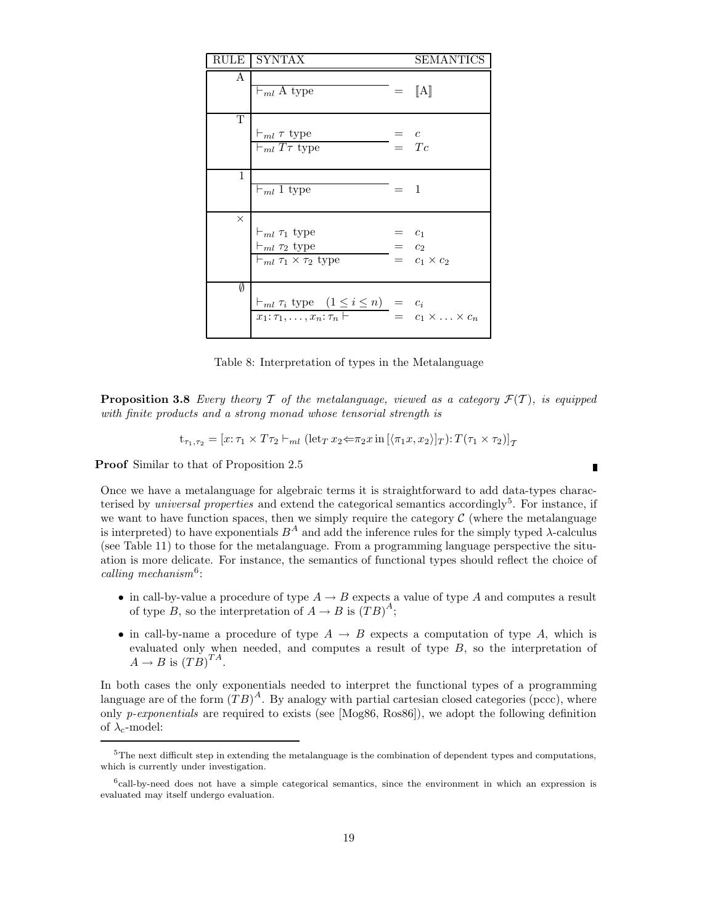| RULE         | SYNTAX                                                                                            |       | SEMANTICS                                |
|--------------|---------------------------------------------------------------------------------------------------|-------|------------------------------------------|
| A            | $\vdash_{ml} A$ type                                                                              |       | $=$ [A]                                  |
| Т            | $\vdash_{ml} \tau$ type<br>$\vdash_{ml} T\tau$ type                                               |       | $=$ $\frac{c}{Tc}$                       |
| $\mathbf{1}$ | $\vdash_{ml} 1$ type                                                                              | $=$ 1 |                                          |
| $\times$     | $\vdash_{ml} \tau_1$ type<br>$\vdash_{ml} \tau_2$ type<br>$\vdash_{ml} \tau_1 \times \tau_2$ type |       | $c_1$<br>$=$ $c_2$<br>$= c_1 \times c_2$ |
| Ø            | $\vdash_{ml} \tau_i$ type $(1 \leq i \leq n) = c_i$<br>$x_1: \tau_1, \ldots, x_n: \tau_n$         |       | $= c_1 \times \ldots \times c_n$         |

Table 8: Interpretation of types in the Metalanguage

**Proposition 3.8** Every theory T of the metalanguage, viewed as a category  $\mathcal{F}(T)$ , is equipped with finite products and a strong monad whose tensorial strength is

$$
\mathbf{t}_{\tau_1,\tau_2} = [x:\tau_1 \times T\tau_2 \vdash_{ml} (\text{let}_T x_2 \Longleftrightarrow \tau_2 x \text{ in } [\langle \pi_1 x, x_2 \rangle]_T) : T(\tau_1 \times \tau_2)]_T
$$

Proof Similar to that of Proposition 2.5

Once we have a metalanguage for algebraic terms it is straightforward to add data-types characterised by *universal properties* and extend the categorical semantics accordingly<sup>5</sup>. For instance, if we want to have function spaces, then we simply require the category  $\mathcal C$  (where the metalanguage is interpreted) to have exponentials  $B^A$  and add the inference rules for the simply typed  $\lambda$ -calculus (see Table 11) to those for the metalanguage. From a programming language perspective the situation is more delicate. For instance, the semantics of functional types should reflect the choice of calling mechanism<sup>6</sup>:

- in call-by-value a procedure of type  $A \rightarrow B$  expects a value of type A and computes a result of type B, so the interpretation of  $A \to B$  is  $(TB)^A$ ;
- in call-by-name a procedure of type  $A \rightarrow B$  expects a computation of type A, which is evaluated only when needed, and computes a result of type B, so the interpretation of  $A \rightarrow B$  is  $(TB)^{TA}$ .

In both cases the only exponentials needed to interpret the functional types of a programming language are of the form  $(TB)^A$ . By analogy with partial cartesian closed categories (pccc), where only *p-exponentials* are required to exists (see [Mog86, Ros86]), we adopt the following definition of  $\lambda_c$ -model:

 $\blacksquare$ 

<sup>5</sup>The next difficult step in extending the metalanguage is the combination of dependent types and computations, which is currently under investigation.

<sup>&</sup>lt;sup>6</sup>call-by-need does not have a simple categorical semantics, since the environment in which an expression is evaluated may itself undergo evaluation.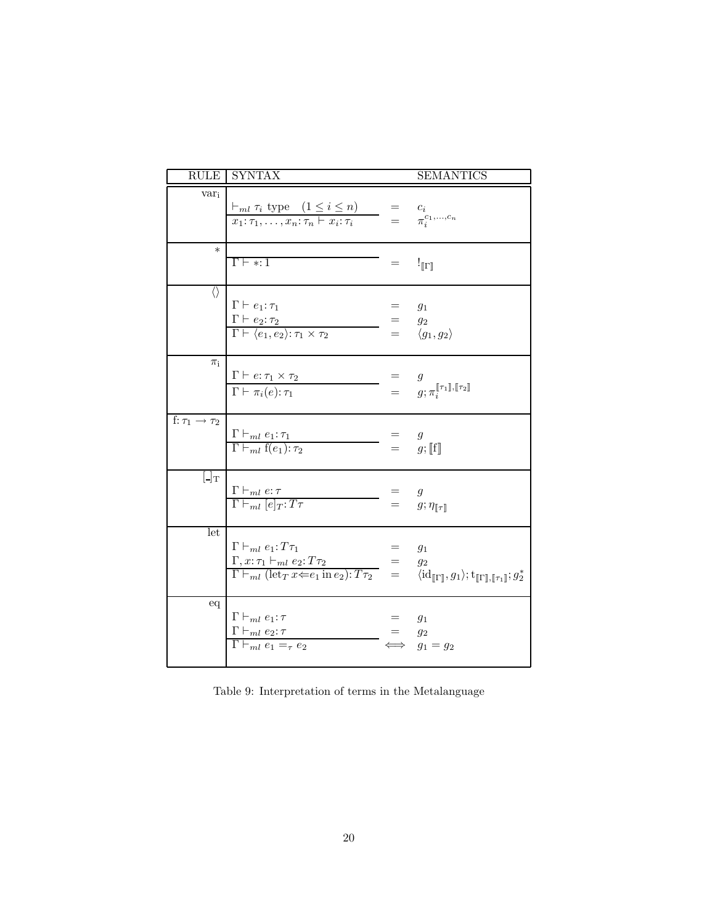|                                | <b>RULE SYNTAX</b>                                                                                                                                                                                                                                                                                                                                  |           | <b>SEMANTICS</b>                                                                                                                                             |
|--------------------------------|-----------------------------------------------------------------------------------------------------------------------------------------------------------------------------------------------------------------------------------------------------------------------------------------------------------------------------------------------------|-----------|--------------------------------------------------------------------------------------------------------------------------------------------------------------|
| $var_i$                        | $\frac{\vdash_{ml} \tau_i \text{ type } (1 \leq i \leq n)}{x_1: \tau_1, \ldots, x_n: \tau_n \vdash x_i: \tau_i} = \frac{c_i}{\pi_i^{c_1, \ldots, c_n}}$                                                                                                                                                                                             |           |                                                                                                                                                              |
| $\ast$                         | $\Gamma \vdash * : 1$                                                                                                                                                                                                                                                                                                                               | $=$       | $!$ [I]                                                                                                                                                      |
| $\langle \rangle$              | $\Gamma \vdash e_1 : \tau_1$<br>$\frac{\Gamma \vdash e_2 : \tau_2}{\Gamma \vdash \langle e_1, e_2 \rangle : \tau_1 \times \tau_2}$                                                                                                                                                                                                                  |           | $g_1$<br>= $g_2$<br>= $\langle g_1, g_2 \rangle$                                                                                                             |
| $\pi_i$                        | $\frac{\Gamma \vdash e : \tau_1 \times \tau_2}{\Gamma \vdash \pi_i(e) : \tau_1}$                                                                                                                                                                                                                                                                    |           | $\begin{array}{rcl} \hline \begin{array}{rcl} & = & g \ & = & g; \pi_i^{\llbracket \tau_1 \rrbracket, \llbracket \tau_2 \rrbracket} \end{array} \end{array}$ |
| f: $\tau_1 \rightarrow \tau_2$ | $\frac{\Gamma \vdash_{ml} e_1 : \tau_1}{\Gamma \vdash_{ml} f(e_1) : \tau_2}$                                                                                                                                                                                                                                                                        |           | $=$ $g$<br>$=$ $g$ ; [f]                                                                                                                                     |
| $\lfloor \cdot \rfloor$ T      | $\frac{\Gamma \vdash_{ml} e:\tau}{\Gamma \vdash_{ml} [e]_T:T\tau}$                                                                                                                                                                                                                                                                                  |           | = $g$<br>= $g; \eta_{\llbracket \tau \rrbracket}$                                                                                                            |
| let                            | $\Gamma \vdash_{ml} e_1 : T\tau_1$<br>$\begin{array}{lcl} \Gamma, x{:}\,\tau_1 \vdash_{ml} e_2{:}\, T\tau_2 & = & g_2 \\ \Gamma \vdash_{ml} (\mathrm{let}_T\,x \mathbin{\Leftarrow} e_1 \, \mathrm{in}\, e_2){:}\, T\tau_2 & = & \langle \mathrm{id}_{[\![\Gamma]\!]}, g_1 \rangle; \mathrm{t}_{[\![\Gamma]\!], [\![\tau_1]\!]}; g_2^* \end{array}$ | $=$ $g_1$ |                                                                                                                                                              |
| $\operatorname{\sf eq}$        | $\Gamma\vdash_{ml} e_1:\tau$<br>$\frac{\Gamma \vdash_{ml} e_2 : \tau}{\Gamma \vdash_{ml} e_1 =_{\tau} e_2}$                                                                                                                                                                                                                                         | $=$ $g_2$ | $g_1$<br>$g_1 = g_2$                                                                                                                                         |

Table 9: Interpretation of terms in the Metalanguage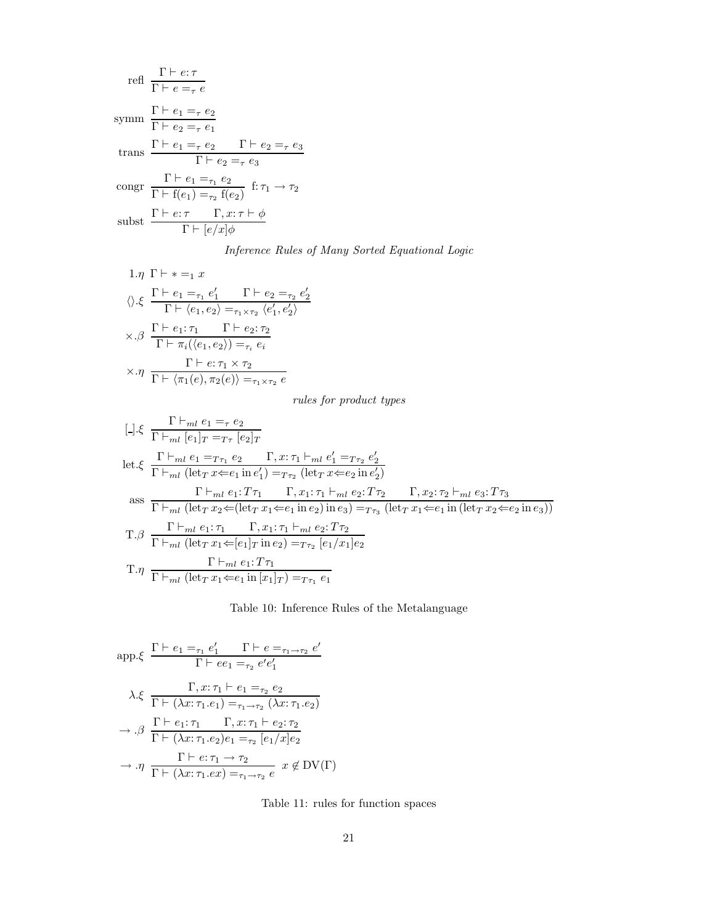refl 
$$
\frac{\Gamma \vdash e:\tau}{\Gamma \vdash e = \tau e}
$$
\n
$$
\text{symm } \frac{\Gamma \vdash e_1 = \tau e_2}{\Gamma \vdash e_2 = \tau e_1}
$$
\n
$$
\text{trans } \frac{\Gamma \vdash e_1 = \tau e_2}{\Gamma \vdash e_2 = \tau e_3}
$$
\n
$$
\text{congr } \frac{\Gamma \vdash e_1 = \tau_1 e_2}{\Gamma \vdash f(e_1) = \tau_2 f(e_2)} \text{ f: } \tau_1 \to \tau_2
$$
\n
$$
\text{subst } \frac{\Gamma \vdash e:\tau \quad \Gamma, x:\tau \vdash \phi}{\Gamma \vdash [e/x]\phi}
$$

Inference Rules of Many Sorted Equational Logic

1.η Γ 
$$
\vdash
$$
 \* = $\frac{1}{2}$   
\n $\langle \rangle \cdot \xi$   $\frac{\Gamma \vdash e_1 = \tau_1 e'_1 \qquad \Gamma \vdash e_2 = \tau_2 e'_2}{\Gamma \vdash \langle e_1, e_2 \rangle = \tau_1 \times \tau_2 \langle e'_1, e'_2 \rangle}$   
\n $\times \cdot \beta \frac{\Gamma \vdash e_1: \tau_1 \qquad \Gamma \vdash e_2: \tau_2}{\Gamma \vdash \pi_i(\langle e_1, e_2 \rangle) = \tau_i e_i}$   
\n $\times \cdot \eta \frac{\Gamma \vdash e: \tau_1 \times \tau_2}{\Gamma \vdash \langle \pi_1(e), \pi_2(e) \rangle = \tau_1 \times \tau_2 e}$ 

rules for product types

$$
\begin{aligned}\n\left[-\right] &\xi \frac{\Gamma \vdash_{ml} e_1 =_{\tau} e_2}{\Gamma \vdash_{ml} [e_1]_T =_{T\tau} [e_2]_T} \\
\text{let.} &\xi \frac{\Gamma \vdash_{ml} e_1 =_{T\tau_1} e_2}{\Gamma \vdash_{ml} (let_T x \Leftarrow e_1 \text{ in } e'_1) =_{T\tau_2} (let_T x \Leftarrow e_2 \text{ in } e'_2)} \\
\text{ass} &\frac{\Gamma \vdash_{ml} e_1 : T\tau_1 \quad \Gamma, x_1 : \tau_1 \vdash_{ml} e_2 : T\tau_2 \quad \Gamma, x_2 : \tau_2 \vdash_{ml} e_3 : T\tau_3}{\Gamma \vdash_{ml} (let_T x_2 \Leftarrow (let_T x_1 \Leftarrow e_1 \text{ in } e_2) \text{ in } e_3) =_{T\tau_3} (let_T x_1 \Leftarrow e_1 \text{ in } (let_T x_2 \Leftarrow e_2 \text{ in } e_3))} \\
\text{T.} &\beta \frac{\Gamma \vdash_{ml} e_1 : \tau_1 \quad \Gamma, x_1 : \tau_1 \vdash_{ml} e_2 : T\tau_2}{\Gamma \vdash_{ml} (let_T x_1 \Leftarrow [e_1]_T \text{ in } e_2) =_{T\tau_2} [e_1/x_1] e_2} \\
\text{T.} &\eta \frac{\Gamma \vdash_{ml} e_1 : T\tau_1}{\Gamma \vdash_{ml} (let_T x_1 \Leftarrow e_1 \text{ in } [x_1]_T) =_{T\tau_1} e_1} \\
\end{aligned}
$$

Table 10: Inference Rules of the Metalanguage

$$
\text{app.}\xi \quad \frac{\Gamma \vdash e_1 =_{\tau_1} e'_1 \qquad \Gamma \vdash e =_{\tau_1 \to \tau_2} e'}{\Gamma \vdash ee_1 =_{\tau_2} e'e'_1}
$$
\n
$$
\lambda.\xi \quad \frac{\Gamma, x: \tau_1 \vdash e_1 =_{\tau_2} e_2}{\Gamma \vdash (\lambda x: \tau_1.e_1) =_{\tau_1 \to \tau_2} (\lambda x: \tau_1.e_2)}
$$
\n
$$
\to .\beta \quad \frac{\Gamma \vdash e_1: \tau_1 \qquad \Gamma, x: \tau_1 \vdash e_2: \tau_2}{\Gamma \vdash (\lambda x: \tau_1.e_2)e_1 =_{\tau_2} [e_1/x]e_2}
$$
\n
$$
\to .\eta \quad \frac{\Gamma \vdash e: \tau_1 \to \tau_2}{\Gamma \vdash (\lambda x: \tau_1.ex) =_{\tau_1 \to \tau_2} e} \quad x \notin \text{DV}(\Gamma)
$$

Table 11: rules for function spaces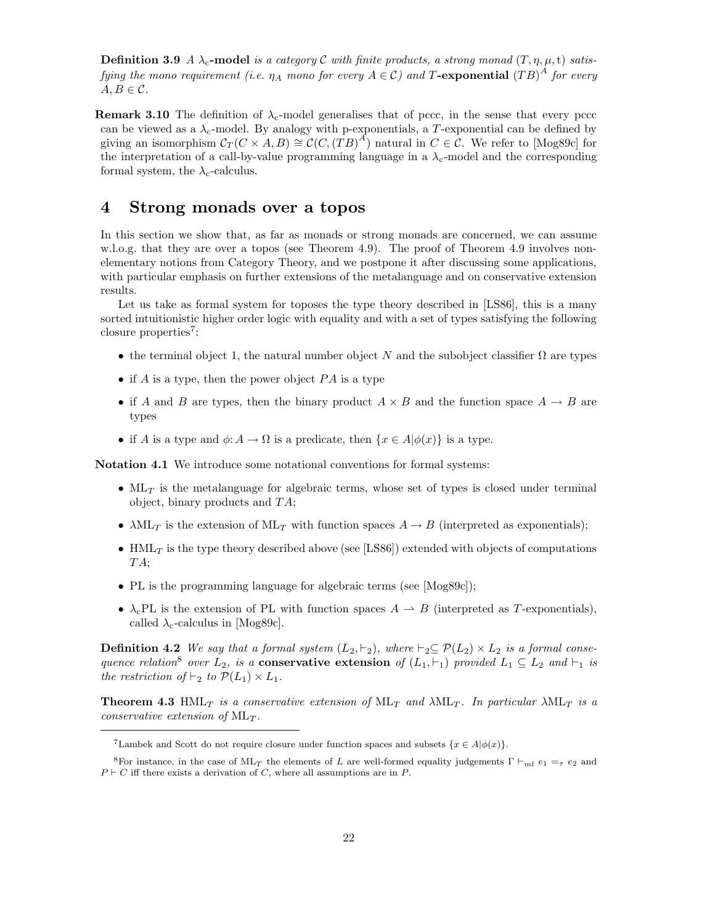**Definition 3.9** A  $\lambda_c$ -model is a category C with finite products, a strong monad  $(T, \eta, \mu, t)$  satisfying the mono requirement (i.e.  $\eta_A$  mono for every  $A\in\mathcal C)$  and T-exponential  $\left(TB\right)^A$  for every  $A, B \in \mathcal{C}$ .

**Remark 3.10** The definition of  $\lambda_c$ -model generalises that of pccc, in the sense that every pcc can be viewed as a  $\lambda_c$ -model. By analogy with p-exponentials, a T-exponential can be defined by giving an isomorphism  $\mathcal{C}_T(C \times A, B) \cong \mathcal{C}(C, (TB)^A)$  natural in  $C \in \mathcal{C}$ . We refer to [Mog89c] for the interpretation of a call-by-value programming language in a  $\lambda_c$ -model and the corresponding formal system, the  $\lambda_c$ -calculus.

## 4 Strong monads over a topos

In this section we show that, as far as monads or strong monads are concerned, we can assume w.l.o.g. that they are over a topos (see Theorem 4.9). The proof of Theorem 4.9 involves nonelementary notions from Category Theory, and we postpone it after discussing some applications, with particular emphasis on further extensions of the metalanguage and on conservative extension results.

Let us take as formal system for toposes the type theory described in [LS86], this is a many sorted intuitionistic higher order logic with equality and with a set of types satisfying the following closure properties<sup>7</sup>:

- the terminal object 1, the natural number object N and the subobject classifier  $\Omega$  are types
- if A is a type, then the power object  $PA$  is a type
- if A and B are types, then the binary product  $A \times B$  and the function space  $A \rightarrow B$  are types
- if A is a type and  $\phi: A \to \Omega$  is a predicate, then  $\{x \in A | \phi(x)\}\$ is a type.

Notation 4.1 We introduce some notational conventions for formal systems:

- $ML_T$  is the metalanguage for algebraic terms, whose set of types is closed under terminal object, binary products and TA;
- $\lambda$ ML<sub>T</sub> is the extension of ML<sub>T</sub> with function spaces  $A \rightarrow B$  (interpreted as exponentials);
- $HML_T$  is the type theory described above (see [LS86]) extended with objects of computations TA;
- PL is the programming language for algebraic terms (see [Mog89c]);
- $\lambda_c$ PL is the extension of PL with function spaces  $A \rightarrow B$  (interpreted as T-exponentials), called  $\lambda_c$ -calculus in [Mog89c].

**Definition 4.2** We say that a formal system  $(L_2, \vdash_2)$ , where  $\vdash_2 \subseteq \mathcal{P}(L_2) \times L_2$  is a formal consequence relation<sup>8</sup> over  $L_2$ , is a **conservative extension** of  $(L_1, \vdash_1)$  provided  $L_1 \subseteq L_2$  and  $\vdash_1$  is the restriction of  $\vdash_2$  to  $\mathcal{P}(L_1) \times L_1$ .

**Theorem 4.3** HML<sub>T</sub> is a conservative extension of ML<sub>T</sub> and  $\lambda$ ML<sub>T</sub>. In particular  $\lambda$ ML<sub>T</sub> is a conservative extension of  $ML<sub>T</sub>$ .

<sup>&</sup>lt;sup>7</sup>Lambek and Scott do not require closure under function spaces and subsets  $\{x \in A | \phi(x)\}\$ .

<sup>&</sup>lt;sup>8</sup>For instance, in the case of ML<sub>T</sub> the elements of L are well-formed equality judgements  $\Gamma \vdash_{ml} e_1 = \tau e_2$  and  $P \vdash C$  iff there exists a derivation of C, where all assumptions are in P.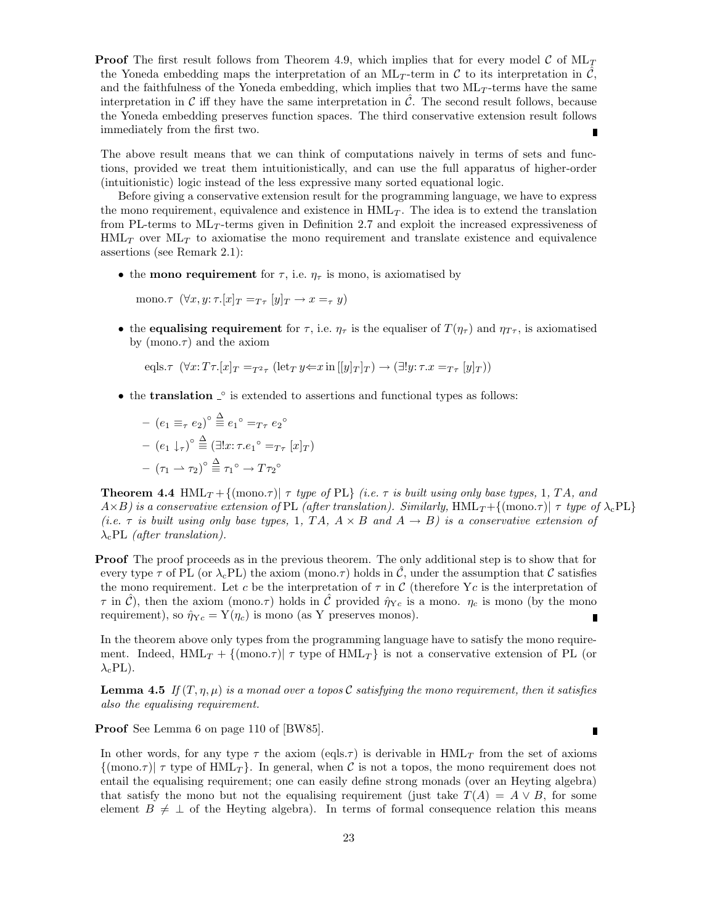**Proof** The first result follows from Theorem 4.9, which implies that for every model C of  $ML_T$ the Yoneda embedding maps the interpretation of an ML<sub>T</sub>-term in C to its interpretation in C, and the faithfulness of the Yoneda embedding, which implies that two  $ML_T$ -terms have the same interpretation in  $\mathcal C$  iff they have the same interpretation in  $\mathcal C$ . The second result follows, because the Yoneda embedding preserves function spaces. The third conservative extension result follows immediately from the first two. Г

The above result means that we can think of computations naively in terms of sets and functions, provided we treat them intuitionistically, and can use the full apparatus of higher-order (intuitionistic) logic instead of the less expressive many sorted equational logic.

Before giving a conservative extension result for the programming language, we have to express the mono requirement, equivalence and existence in  $HML_T$ . The idea is to extend the translation from PL-terms to  $ML_T$ -terms given in Definition 2.7 and exploit the increased expressiveness of  $HML_T$  over  $ML_T$  to axiomatise the mono requirement and translate existence and equivalence assertions (see Remark 2.1):

• the mono requirement for  $\tau$ , i.e.  $\eta_{\tau}$  is mono, is axiomatised by

mono. $\tau$   $(\forall x, y; \tau. [x]_T = T_{\tau} [y]_T \rightarrow x =_{\tau} y)$ 

• the equalising requirement for  $\tau$ , i.e.  $\eta_{\tau}$  is the equaliser of  $T(\eta_{\tau})$  and  $\eta_{T\tau}$ , is axiomatised by (mono. $\tau$ ) and the axiom

eqls. $\tau$   $(\forall x: T\tau.[x]_T =_{T^2\tau} (\text{let}_T y \Leftrightarrow x \text{ in } [[y]_T]_T) \rightarrow (\exists!y: \tau.x =_{T\tau} [y]_T))$ 

• the translation  $\hat{\ }$  is extended to assertions and functional types as follows:

$$
-(e_1 \equiv_\tau e_2)^\circ \stackrel{\Delta}{\equiv} e_1^\circ =_{T\tau} e_2^\circ
$$

$$
-(e_1 \downarrow_\tau)^\circ \stackrel{\Delta}{\equiv} (\exists! x: \tau.e_1^\circ =_{T\tau} [x]_T)
$$

$$
-(\tau_1 \to \tau_2)^\circ \stackrel{\Delta}{\equiv} \tau_1^\circ \to T\tau_2^\circ
$$

**Theorem 4.4** HML<sub>T</sub> + {(mono.*τ*)|  $\tau$  type of PL} (i.e.  $\tau$  is built using only base types, 1, TA, and  $A\times B$ ) is a conservative extension of PL (after translation). Similarly, HML<sub>T</sub>+{(mono. $\tau$ )|  $\tau$  type of  $\lambda_c$ PL} (i.e.  $\tau$  is built using only base types, 1, TA,  $A \times B$  and  $A \rightarrow B$ ) is a conservative extension of  $\lambda_c$ PL (after translation).

**Proof** The proof proceeds as in the previous theorem. The only additional step is to show that for every type  $\tau$  of PL (or  $\lambda_c$ PL) the axiom (mono. $\tau$ ) holds in  $\tilde{\mathcal{C}}$ , under the assumption that  $\mathcal C$  satisfies the mono requirement. Let c be the interpretation of  $\tau$  in C (therefore Yc is the interpretation of  $\tau$  in C), then the axiom (mono. $\tau$ ) holds in C provided  $\hat{\eta}_{Yc}$  is a mono.  $\eta_c$  is mono (by the mono requirement), so  $\hat{\eta}_{Yc} = Y(\eta_c)$  is mono (as Y preserves monos). Г

In the theorem above only types from the programming language have to satisfy the mono requirement. Indeed,  $HML_T + \{(\text{mono}.\tau) | \tau \text{ type of } HML_T \}$  is not a conservative extension of PL (or  $\lambda_c$ PL).

**Lemma 4.5** If  $(T, \eta, \mu)$  is a monad over a topos C satisfying the mono requirement, then it satisfies also the equalising requirement.

Proof See Lemma 6 on page 110 of [BW85].

In other words, for any type  $\tau$  the axiom (eqls. $\tau$ ) is derivable in HML<sub>T</sub> from the set of axioms  $\{(\text{mono}.\tau) | \tau \text{ type of HML}_T\}$ . In general, when C is not a topos, the mono requirement does not entail the equalising requirement; one can easily define strong monads (over an Heyting algebra) that satisfy the mono but not the equalising requirement (just take  $T(A) = A \vee B$ , for some element  $B \neq \perp$  of the Heyting algebra). In terms of formal consequence relation this means

r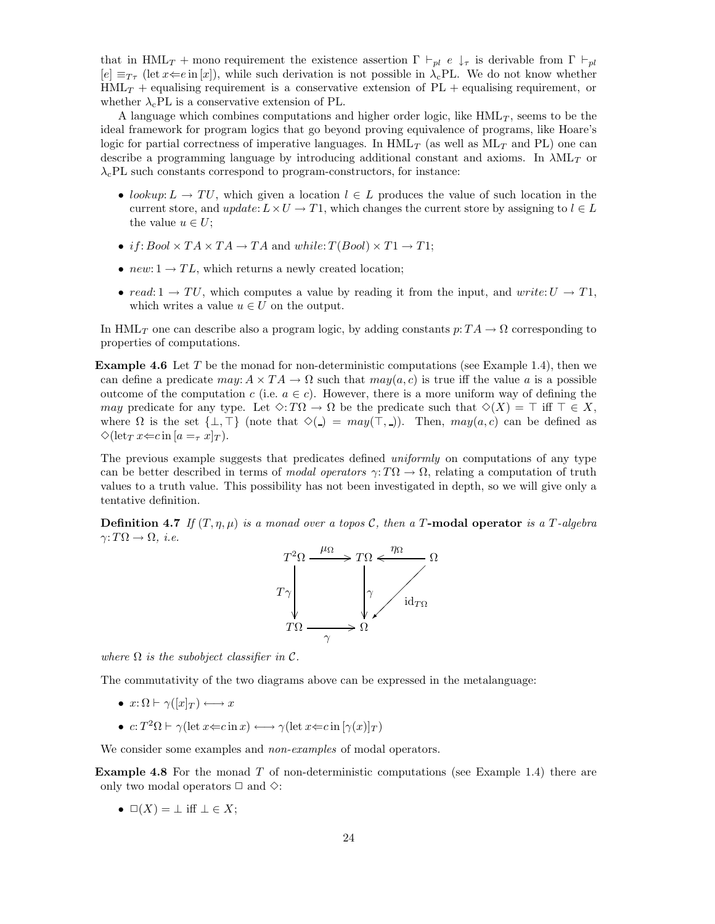that in HML<sub>T</sub> + mono requirement the existence assertion  $\Gamma \vdash_{pl} e \downarrow_{\tau}$  is derivable from  $\Gamma \vdash_{pl}$  $[e] \equiv_{T_{\tau}} (\text{let } x \Leftarrow e \text{ in } [x])$ , while such derivation is not possible in  $\lambda_c$ PL. We do not know whether  $HML_T$  + equalising requirement is a conservative extension of  $PL$  + equalising requirement, or whether  $\lambda_c$ PL is a conservative extension of PL.

A language which combines computations and higher order logic, like  $HML_T$ , seems to be the ideal framework for program logics that go beyond proving equivalence of programs, like Hoare's logic for partial correctness of imperative languages. In  $HML_{T}$  (as well as  $ML_{T}$  and PL) one can describe a programming language by introducing additional constant and axioms. In  $\lambda ML_T$  or  $\lambda_c$ PL such constants correspond to program-constructors, for instance:

- lookup:  $L \to TU$ , which given a location  $l \in L$  produces the value of such location in the current store, and update:  $L \times U \to T1$ , which changes the current store by assigning to  $l \in L$ the value  $u \in U$ ;
- if:  $Bool \times TA \times TA \rightarrow TA$  and while:  $T(Bool) \times T1 \rightarrow T1$ ;
- $new: 1 \rightarrow TL$ , which returns a newly created location;
- read:  $1 \rightarrow TU$ , which computes a value by reading it from the input, and write:  $U \rightarrow T1$ , which writes a value  $u \in U$  on the output.

In HML<sub>T</sub> one can describe also a program logic, by adding constants  $p: TA \to \Omega$  corresponding to properties of computations.

**Example 4.6** Let T be the monad for non-deterministic computations (see Example 1.4), then we can define a predicate  $may: A \times TA \to \Omega$  such that  $may(a, c)$  is true iff the value a is a possible outcome of the computation c (i.e.  $a \in c$ ). However, there is a more uniform way of defining the may predicate for any type. Let  $\Diamond: T\Omega \to \Omega$  be the predicate such that  $\Diamond(X) = \top$  iff  $\top \in X$ , where  $\Omega$  is the set  $\{\perp, \top\}$  (note that  $\diamondsuit(\square) = may(\top, \square)$ ). Then,  $may(a, c)$  can be defined as  $\Diamond (\mathrm{let}_T x \in c \mathrm{ in } [a = \tau x]_T).$ 

The previous example suggests that predicates defined *uniformly* on computations of any type can be better described in terms of modal operators  $\gamma: T\Omega \to \Omega$ , relating a computation of truth values to a truth value. This possibility has not been investigated in depth, so we will give only a tentative definition.

**Definition 4.7** If  $(T, \eta, \mu)$  is a monad over a topos C, then a T-modal operator is a T-algebra  $\gamma: T\Omega \to \Omega$ , *i.e.* 



where  $\Omega$  is the subobject classifier in  $\mathcal{C}$ .

The commutativity of the two diagrams above can be expressed in the metalanguage:

- $x: \Omega \vdash \gamma([x]_T) \longleftrightarrow x$
- $c: T^2\Omega \vdash \gamma(\text{let } x \leftarrow c \text{ in } x) \longleftrightarrow \gamma(\text{let } x \leftarrow c \text{ in } [\gamma(x)]_T)$

We consider some examples and *non-examples* of modal operators.

**Example 4.8** For the monad T of non-deterministic computations (see Example 1.4) there are only two modal operators  $\Box$  and  $\diamond$ :

•  $\square(X) = \bot$  iff  $\bot \in X$ ;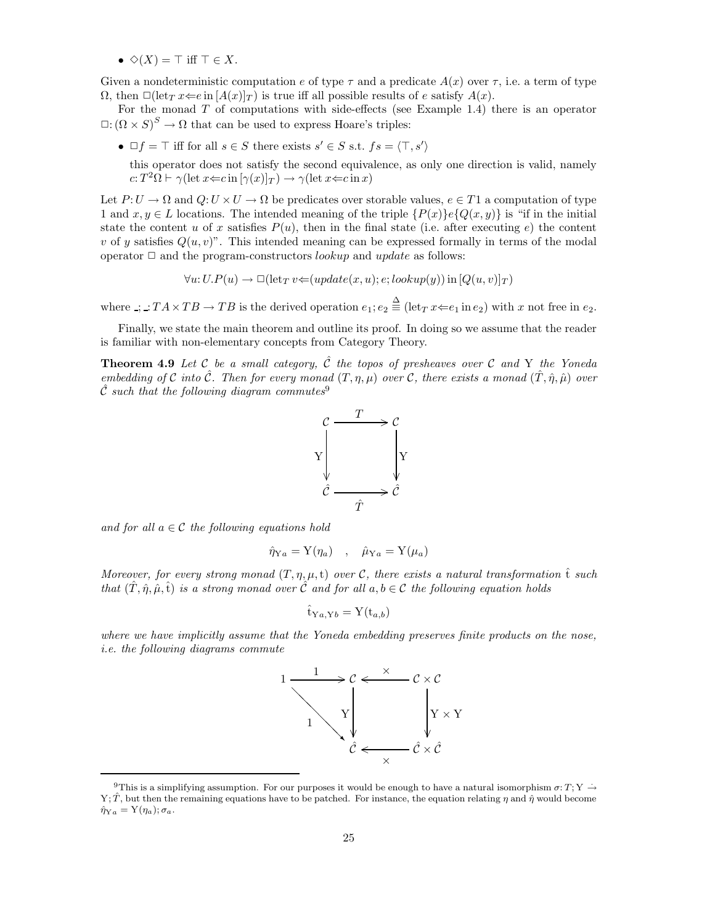•  $\Diamond$ (X) =  $\top$  iff  $\top \in X$ .

Given a nondeterministic computation e of type  $\tau$  and a predicate  $A(x)$  over  $\tau$ , i.e. a term of type  $\Omega$ , then  $\Box(\text{let}_T x \rightleftharpoons e \text{ in } [A(x)]_T)$  is true iff all possible results of e satisfy  $A(x)$ .

For the monad  $T$  of computations with side-effects (see Example 1.4) there is an operator  $\Box: (\Omega \times S)^S \to \Omega$  that can be used to express Hoare's triples:

•  $\Box f = \top$  iff for all  $s \in S$  there exists  $s' \in S$  s.t.  $fs = \langle \top, s' \rangle$ 

this operator does not satisfy the second equivalence, as only one direction is valid, namely  $c: T^2\Omega \vdash \gamma(\text{let } x \in c \text{ in } [\gamma(x)]_T) \rightarrow \gamma(\text{let } x \in c \text{ in } x)$ 

Let  $P: U \to \Omega$  and  $Q: U \times U \to \Omega$  be predicates over storable values,  $e \in T1$  a computation of type 1 and  $x, y \in L$  locations. The intended meaning of the triple  $\{P(x)\}\in \{Q(x, y)\}\$ is "if in the initial state the content u of x satisfies  $P(u)$ , then in the final state (i.e. after executing e) the content v of y satisfies  $Q(u, v)$ ". This intended meaning can be expressed formally in terms of the modal operator  $\Box$  and the program-constructors *lookup* and *update* as follows:

$$
\forall u: U.P(u) \rightarrow \Box(\mathrm{let}_T v \leftarrow (update(x, u); e; lookup(y)) \mathrm{in} [Q(u, v)]_T)
$$

where  $\therefore$   $TA \times TB \rightarrow TB$  is the derived operation  $e_1$ ;  $e_2 \stackrel{\Delta}{=} (\text{let}_T x \Leftarrow e_1 \text{ in } e_2)$  with x not free in  $e_2$ .

Finally, we state the main theorem and outline its proof. In doing so we assume that the reader is familiar with non-elementary concepts from Category Theory.

**Theorem 4.9** Let C be a small category,  $\hat{C}$  the topos of presheaves over C and Y the Yoneda embedding of C into  $\hat{\mathcal{C}}$ . Then for every monad  $(T, \eta, \mu)$  over C, there exists a monad  $(\hat{T}, \hat{\eta}, \hat{\mu})$  over  $\hat{\mathcal{C}}$  such that the following diagram commutes<sup>9</sup>



and for all  $a \in \mathcal{C}$  the following equations hold

$$
\hat{\eta}_{\mathrm{Y}a} = \mathrm{Y}(\eta_a) \quad , \quad \hat{\mu}_{\mathrm{Y}a} = \mathrm{Y}(\mu_a)
$$

Moreover, for every strong monad  $(T, \eta, \mu, t)$  over C, there exists a natural transformation  $\hat{t}$  such that  $(\tilde{T}, \hat{\eta}, \hat{\mu}, \hat{t})$  is a strong monad over  $\tilde{C}$  and for all  $a, b \in \tilde{C}$  the following equation holds

$$
\hat{\mathbf{t}}_{\mathrm{Y}a,\mathrm{Y}b} = \mathrm{Y}(\mathbf{t}_{a,b})
$$

where we have implicitly assume that the Yoneda embedding preserves finite products on the nose, i.e. the following diagrams commute



<sup>&</sup>lt;sup>9</sup>This is a simplifying assumption. For our purposes it would be enough to have a natural isomorphism  $\sigma: T; Y \to$ Y; T̂, but then the remaining equations have to be patched. For instance, the equation relating  $\eta$  and  $\hat{\eta}$  would become  $\hat{\eta}_{Ya} = Y(\eta_a); \sigma_a.$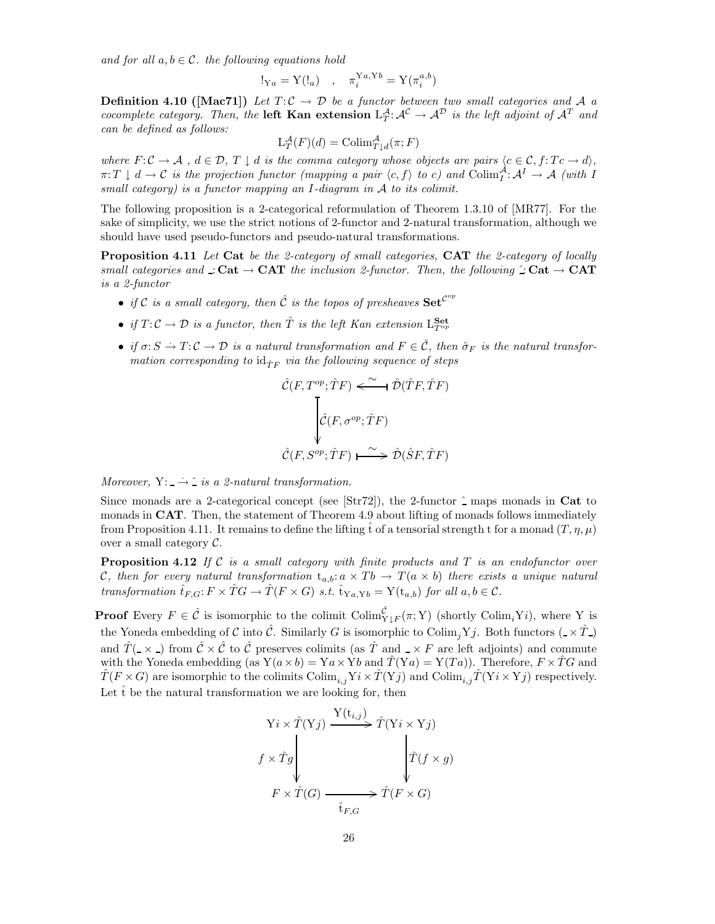and for all  $a, b \in \mathcal{C}$ , the following equations hold

$$
!_{Ya} = Y(!_a) \quad , \quad \pi_i^{Ya,Yb} = Y(\pi_i^{a,b})
$$

**Definition 4.10 ([Mac71])** Let  $T: \mathcal{C} \to \mathcal{D}$  be a functor between two small categories and A a cocomplete category. Then, the **left Kan extension**  $L^{\mathcal{A}}_T: \mathcal{A}^{\mathcal{C}} \to \mathcal{A}^{\mathcal{D}}$  is the left adjoint of  $\mathcal{A}^T$  and can be defined as follows:

$$
L_T^{\mathcal{A}}(F)(d) = \text{Colim}_{T \downarrow d}^{\mathcal{A}}(\pi; F)
$$

where  $F: \mathcal{C} \to \mathcal{A}$ ,  $d \in \mathcal{D}$ ,  $T \downarrow d$  is the comma category whose objects are pairs  $\langle c \in \mathcal{C}, f: Tc \to d \rangle$ ,  $\pi: T \downarrow d \to C$  is the projection functor (mapping a pair  $\langle c, f \rangle$  to c) and  $\text{Colim}_I^{\mathcal{A}}: \mathcal{A}^I \to \mathcal{A}$  (with I small category) is a functor mapping an I-diagram in A to its colimit.

The following proposition is a 2-categorical reformulation of Theorem 1.3.10 of [MR77]. For the sake of simplicity, we use the strict notions of 2-functor and 2-natural transformation, although we should have used pseudo-functors and pseudo-natural transformations.

Proposition 4.11 Let Cat be the 2-category of small categories, CAT the 2-category of locally small categories and : Cat  $\rightarrow$  CAT the inclusion 2-functor. Then, the following  $\hat{c}$  Cat  $\rightarrow$  CAT is a 2-functor

- if C is a small category, then  $\hat{\mathcal{C}}$  is the topos of presheaves  $\mathbf{Set}^{\mathcal{C}^{op}}$
- if  $T: \mathcal{C} \to \mathcal{D}$  is a functor, then  $\hat{T}$  is the left Kan extension  $L_{T^{op}}^{\mathbf{Set}}$
- if  $\sigma: S \to T: \mathcal{C} \to \mathcal{D}$  is a natural transformation and  $F \in \hat{\mathcal{C}}$ , then  $\hat{\sigma}_F$  is the natural transformation corresponding to  $\mathrm{id}_{\hat T F}$  via the following sequence of steps

$$
\hat{\mathcal{C}}(F, T^{op}; \hat{T}F) \xleftarrow{\sim} \hat{\mathcal{D}}(\hat{T}F, \hat{T}F)
$$
\n
$$
\downarrow \hat{\mathcal{C}}(F, \sigma^{op}; \hat{T}F)
$$
\n
$$
\hat{\mathcal{C}}(F, S^{op}; \hat{T}F) \xrightarrow{\sim} \hat{\mathcal{D}}(\hat{S}F, \hat{T}F)
$$

Moreover,  $Y: \rightarrow \hat{I}$  is a 2-natural transformation.

Since monads are a 2-categorical concept (see [Str72]), the 2-functor  $\hat{\ }$  maps monads in Cat to monads in **CAT**. Then, the statement of Theorem 4.9 about lifting of monads follows immediately from Proposition 4.11. It remains to define the lifting t of a tensorial strength t for a monad  $(T, \eta, \mu)$ over a small category  $C$ .

**Proposition 4.12** If C is a small category with finite products and T is an endofunctor over C, then for every natural transformation  $t_{a,b}: a \times Tb \to T(a \times b)$  there exists a unique natural transformation  $\hat{t}_{F,G}: F \times \hat{T}G \to \hat{T}(F \times G)$  s.t.  $\hat{t}_{\text{Y}_a,\text{Y}_b} = Y(t_{a,b})$  for all  $a,b \in \mathcal{C}$ .

**Proof** Every  $F \in \hat{\mathcal{C}}$  is isomorphic to the colimit  $\text{Colim}_{Y\downarrow F}^{\hat{\mathcal{C}}}(\pi; Y)$  (shortly  $\text{Colim}_{i}Yi$ ), where Y is the Yoneda embedding of C into  $\hat{\mathcal{C}}$ . Similarly G is isomorphic to Colim<sub>i</sub>Yj. Both functors ( $\angle \times \hat{T}$ ) and  $\hat{T}(\alpha)$  from  $\hat{C} \times \hat{C}$  to  $\hat{C}$  preserves colimits (as  $\hat{T}$  and  $\alpha \times F$  are left adjoints) and commute with the Yoneda embedding (as  $Y(a \times b) = Ya \times Yb$  and  $\hat{T}(Ya) = Y(Ta)$ ). Therefore,  $F \times \hat{T}G$  and  $\hat{T}(F \times G)$  are isomorphic to the colimits  $\text{Colim}_{i,j} Y_i \times \hat{T}(Y_j)$  and  $\text{Colim}_{i,j} \hat{T}(Y_i \times Y_j)$  respectively. Let  $\hat{t}$  be the natural transformation we are looking for, then

$$
\begin{aligned}\n\mathbf{Y}i \times \hat{T}(\mathbf{Y}j) &\xrightarrow{\mathbf{Y}(\mathbf{t}_{i,j})} \hat{T}(\mathbf{Y}i \times \mathbf{Y}j) \\
f \times \hat{T}g &\xrightarrow{\hat{T}(\mathbf{G})} \qquad \qquad \downarrow \hat{T}(f \times g) \\
F \times \hat{T}(G) &\xrightarrow{\hat{\mathbf{t}}_{F,G}} \hat{T}(F \times G)\n\end{aligned}
$$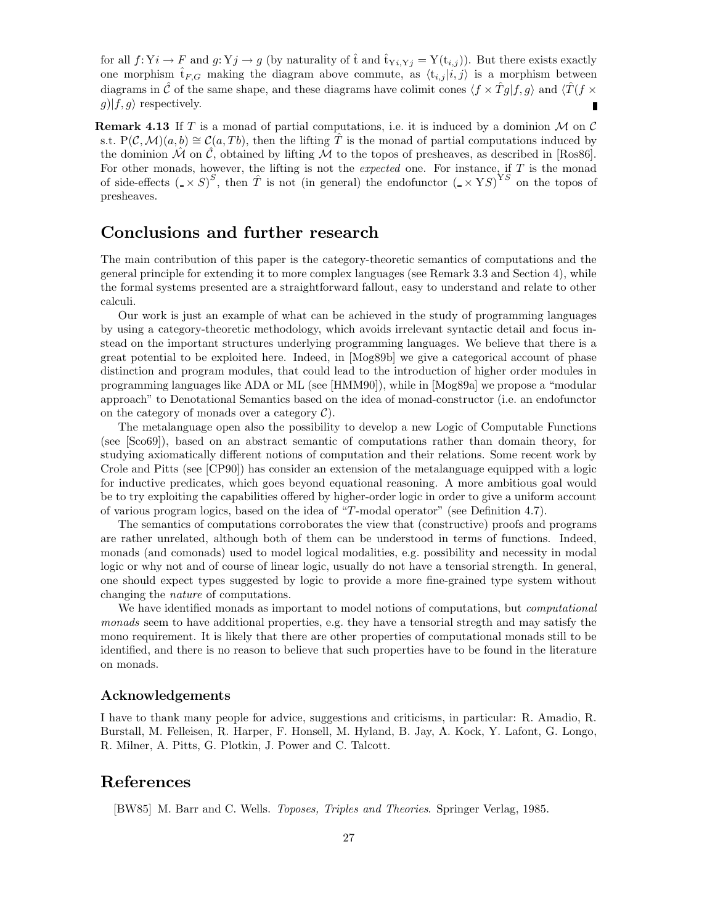for all  $f: Y_i \to F$  and  $g: Y_j \to g$  (by naturality of  $\hat{t}$  and  $\hat{t}_{Y_i,Y_j} = Y(t_{i,j})$ ). But there exists exactly one morphism  $\hat{t}_{F,G}$  making the diagram above commute, as  $\langle t_{i,j} | i, j \rangle$  is a morphism between diagrams in  $\hat{C}$  of the same shape, and these diagrams have colimit cones  $\langle f \times \hat{T}g|f,g \rangle$  and  $\langle \hat{T}(f \times f)g|g \rangle$  $g|f,g\rangle$  respectively. Г

**Remark 4.13** If T is a monad of partial computations, i.e. it is induced by a dominion M on C s.t.  $P(C, \mathcal{M})(a, b) \cong C(a, Tb)$ , then the lifting T is the monad of partial computations induced by the dominion  $\hat{\mathcal{M}}$  on  $\hat{\mathcal{C}}$ , obtained by lifting  $\mathcal{M}$  to the topos of presheaves, as described in [Ros86]. For other monads, however, the lifting is not the *expected* one. For instance, if  $T$  is the monad of side-effects  $(\sqrt{S})^S$ , then  $\hat{T}$  is not (in general) the endofunctor  $(\sqrt{S})^{\text{YS}}$  on the topos of presheaves.

### Conclusions and further research

The main contribution of this paper is the category-theoretic semantics of computations and the general principle for extending it to more complex languages (see Remark 3.3 and Section 4), while the formal systems presented are a straightforward fallout, easy to understand and relate to other calculi.

Our work is just an example of what can be achieved in the study of programming languages by using a category-theoretic methodology, which avoids irrelevant syntactic detail and focus instead on the important structures underlying programming languages. We believe that there is a great potential to be exploited here. Indeed, in [Mog89b] we give a categorical account of phase distinction and program modules, that could lead to the introduction of higher order modules in programming languages like ADA or ML (see [HMM90]), while in [Mog89a] we propose a "modular approach" to Denotational Semantics based on the idea of monad-constructor (i.e. an endofunctor on the category of monads over a category  $\mathcal{C}$ ).

The metalanguage open also the possibility to develop a new Logic of Computable Functions (see [Sco69]), based on an abstract semantic of computations rather than domain theory, for studying axiomatically different notions of computation and their relations. Some recent work by Crole and Pitts (see [CP90]) has consider an extension of the metalanguage equipped with a logic for inductive predicates, which goes beyond equational reasoning. A more ambitious goal would be to try exploiting the capabilities offered by higher-order logic in order to give a uniform account of various program logics, based on the idea of "T-modal operator" (see Definition 4.7).

The semantics of computations corroborates the view that (constructive) proofs and programs are rather unrelated, although both of them can be understood in terms of functions. Indeed, monads (and comonads) used to model logical modalities, e.g. possibility and necessity in modal logic or why not and of course of linear logic, usually do not have a tensorial strength. In general, one should expect types suggested by logic to provide a more fine-grained type system without changing the nature of computations.

We have identified monads as important to model notions of computations, but *computational* monads seem to have additional properties, e.g. they have a tensorial stregth and may satisfy the mono requirement. It is likely that there are other properties of computational monads still to be identified, and there is no reason to believe that such properties have to be found in the literature on monads.

### Acknowledgements

I have to thank many people for advice, suggestions and criticisms, in particular: R. Amadio, R. Burstall, M. Felleisen, R. Harper, F. Honsell, M. Hyland, B. Jay, A. Kock, Y. Lafont, G. Longo, R. Milner, A. Pitts, G. Plotkin, J. Power and C. Talcott.

### References

[BW85] M. Barr and C. Wells. Toposes, Triples and Theories. Springer Verlag, 1985.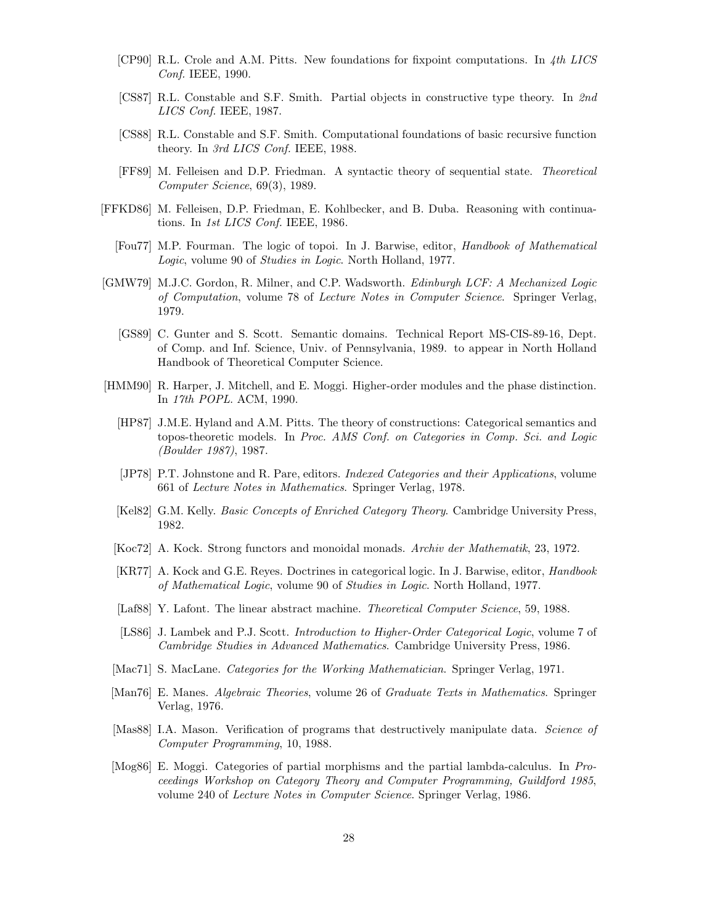- [CP90] R.L. Crole and A.M. Pitts. New foundations for fixpoint computations. In 4th LICS Conf. IEEE, 1990.
- [CS87] R.L. Constable and S.F. Smith. Partial objects in constructive type theory. In 2nd LICS Conf. IEEE, 1987.
- [CS88] R.L. Constable and S.F. Smith. Computational foundations of basic recursive function theory. In 3rd LICS Conf. IEEE, 1988.
- [FF89] M. Felleisen and D.P. Friedman. A syntactic theory of sequential state. Theoretical Computer Science, 69(3), 1989.
- [FFKD86] M. Felleisen, D.P. Friedman, E. Kohlbecker, and B. Duba. Reasoning with continuations. In 1st LICS Conf. IEEE, 1986.
	- [Fou77] M.P. Fourman. The logic of topoi. In J. Barwise, editor, Handbook of Mathematical Logic, volume 90 of Studies in Logic. North Holland, 1977.
- [GMW79] M.J.C. Gordon, R. Milner, and C.P. Wadsworth. Edinburgh LCF: A Mechanized Logic of Computation, volume 78 of Lecture Notes in Computer Science. Springer Verlag, 1979.
	- [GS89] C. Gunter and S. Scott. Semantic domains. Technical Report MS-CIS-89-16, Dept. of Comp. and Inf. Science, Univ. of Pennsylvania, 1989. to appear in North Holland Handbook of Theoretical Computer Science.
- [HMM90] R. Harper, J. Mitchell, and E. Moggi. Higher-order modules and the phase distinction. In 17th POPL. ACM, 1990.
	- [HP87] J.M.E. Hyland and A.M. Pitts. The theory of constructions: Categorical semantics and topos-theoretic models. In Proc. AMS Conf. on Categories in Comp. Sci. and Logic (Boulder 1987), 1987.
	- [JP78] P.T. Johnstone and R. Pare, editors. Indexed Categories and their Applications, volume 661 of Lecture Notes in Mathematics. Springer Verlag, 1978.
	- [Kel82] G.M. Kelly. Basic Concepts of Enriched Category Theory. Cambridge University Press, 1982.
	- [Koc72] A. Kock. Strong functors and monoidal monads. Archiv der Mathematik, 23, 1972.
	- [KR77] A. Kock and G.E. Reyes. Doctrines in categorical logic. In J. Barwise, editor, Handbook of Mathematical Logic, volume 90 of Studies in Logic. North Holland, 1977.
	- [Laf88] Y. Lafont. The linear abstract machine. Theoretical Computer Science, 59, 1988.
	- [LS86] J. Lambek and P.J. Scott. Introduction to Higher-Order Categorical Logic, volume 7 of Cambridge Studies in Advanced Mathematics. Cambridge University Press, 1986.
- [Mac71] S. MacLane. Categories for the Working Mathematician. Springer Verlag, 1971.
- [Man76] E. Manes. Algebraic Theories, volume 26 of Graduate Texts in Mathematics. Springer Verlag, 1976.
- [Mas88] I.A. Mason. Verification of programs that destructively manipulate data. Science of Computer Programming, 10, 1988.
- [Mog86] E. Moggi. Categories of partial morphisms and the partial lambda-calculus. In Proceedings Workshop on Category Theory and Computer Programming, Guildford 1985, volume 240 of Lecture Notes in Computer Science. Springer Verlag, 1986.